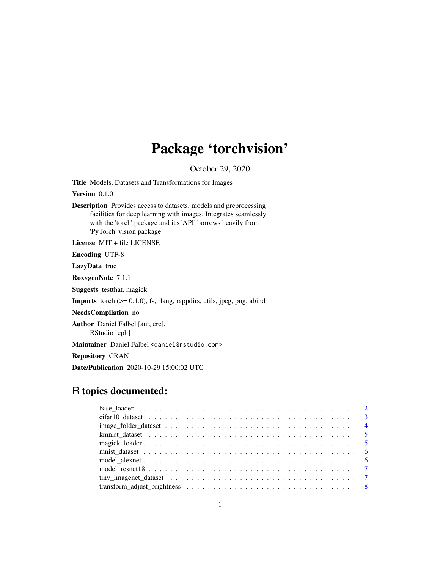# Package 'torchvision'

October 29, 2020

<span id="page-0-0"></span>Title Models, Datasets and Transformations for Images

Version 0.1.0

Description Provides access to datasets, models and preprocessing facilities for deep learning with images. Integrates seamlessly with the 'torch' package and it's 'API' borrows heavily from 'PyTorch' vision package.

License MIT + file LICENSE

Encoding UTF-8

LazyData true

RoxygenNote 7.1.1

Suggests testthat, magick

**Imports** torch  $(>= 0.1.0)$ , fs, rlang, rappdirs, utils, jpeg, png, abind

NeedsCompilation no

Author Daniel Falbel [aut, cre],

RStudio [cph]

Maintainer Daniel Falbel <daniel@rstudio.com>

Repository CRAN

Date/Publication 2020-10-29 15:00:02 UTC

## R topics documented: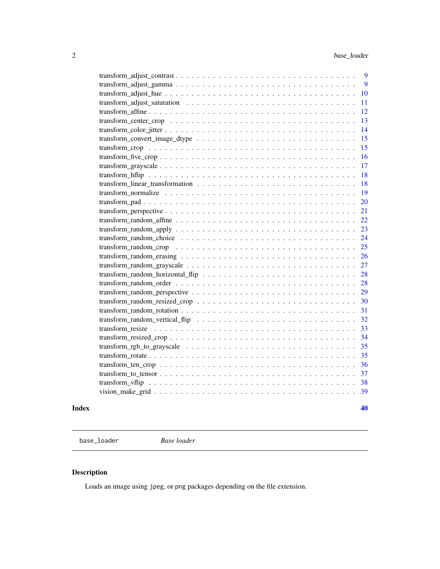<span id="page-1-0"></span>

| 9  |
|----|
| 9  |
| 10 |
| 11 |
| 12 |
| 13 |
| 14 |
| 15 |
| 15 |
| 16 |
| 17 |
| 18 |
| 18 |
| 19 |
| 20 |
| 21 |
| 22 |
| 23 |
| 24 |
| 25 |
| 26 |
| 27 |
| 28 |
| 28 |
| 29 |
| 30 |
| 31 |
| 32 |
| 33 |
| 34 |
| 35 |
| 35 |
| 36 |
| 37 |
| 38 |
| 39 |
|    |

#### $\blacksquare$

base\_loader *Base loader*

## Description

Loads an image using jpeg, or png packages depending on the file extension.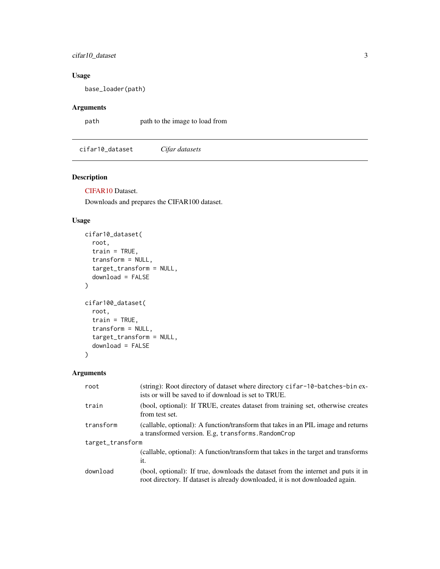## <span id="page-2-0"></span>cifar10\_dataset 3

## Usage

base\_loader(path)

## Arguments

path path to the image to load from

cifar10\_dataset *Cifar datasets*

## Description

[CIFAR10](https://www.cs.toronto.edu/~kriz/cifar.html) Dataset.

Downloads and prepares the CIFAR100 dataset.

## Usage

```
cifar10_dataset(
  root,
  train = TRUE,
  transform = NULL,
  target_transform = NULL,
  download = FALSE
\mathcal{L}cifar100_dataset(
  root,
  train = TRUE,
  transform = NULL,
  target_transform = NULL,
  download = FALSE
)
```

| root             | (string): Root directory of dataset where directory cifar-10-batches-bin ex-<br>ists or will be saved to if download is set to TRUE.                               |  |
|------------------|--------------------------------------------------------------------------------------------------------------------------------------------------------------------|--|
| train            | (bool, optional): If TRUE, creates dataset from training set, otherwise creates<br>from test set.                                                                  |  |
| transform        | (callable, optional): A function/transform that takes in an PIL image and returns<br>a transformed version. E.g. transforms. RandomCrop                            |  |
| target_transform |                                                                                                                                                                    |  |
|                  | (callable, optional): A function/transform that takes in the target and transforms<br>it.                                                                          |  |
| download         | (bool, optional): If true, downloads the dataset from the internet and puts it in<br>root directory. If dataset is already downloaded, it is not downloaded again. |  |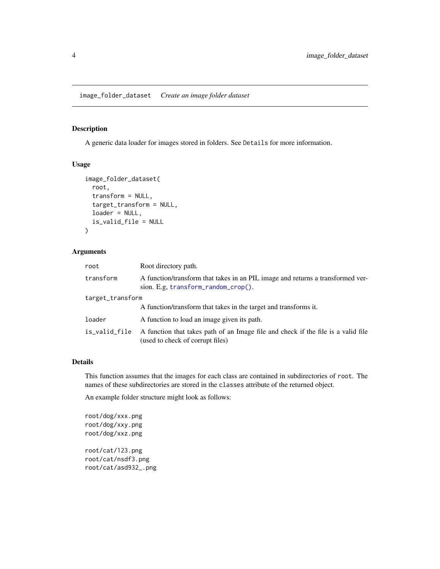<span id="page-3-1"></span><span id="page-3-0"></span>image\_folder\_dataset *Create an image folder dataset*

## Description

A generic data loader for images stored in folders. See Details for more information.

#### Usage

```
image_folder_dataset(
  root,
  transform = NULL,
  target_transform = NULL,
  loader = NULL,
  is_valid_file = NULL
)
```
#### Arguments

| root             | Root directory path.                                                                                                       |
|------------------|----------------------------------------------------------------------------------------------------------------------------|
| transform        | A function/transform that takes in an PIL image and returns a transformed ver-<br>sion. E.g. $transform\_random\_crop()$ . |
| target_transform |                                                                                                                            |
|                  | A function/transform that takes in the target and transforms it.                                                           |
| loader           | A function to load an image given its path.                                                                                |
| is_valid_file    | A function that takes path of an Image file and check if the file is a valid file<br>(used to check of corrupt files)      |

## Details

This function assumes that the images for each class are contained in subdirectories of root. The names of these subdirectories are stored in the classes attribute of the returned object.

An example folder structure might look as follows:

root/dog/xxx.png root/dog/xxy.png root/dog/xxz.png

root/cat/123.png root/cat/nsdf3.png root/cat/asd932\_.png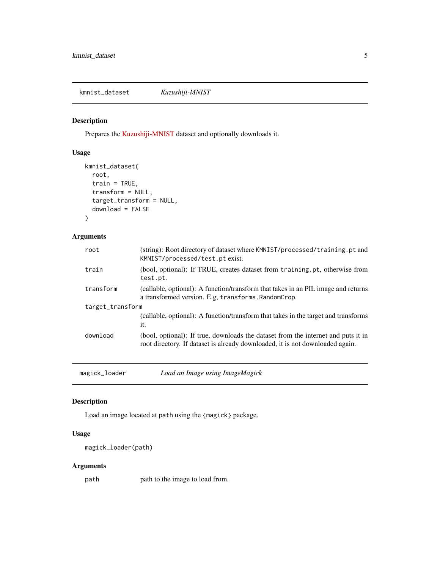<span id="page-4-0"></span>kmnist\_dataset *Kuzushiji-MNIST*

## Description

Prepares the [Kuzushiji-MNIST](https://github.com/rois-codh/kmnist) dataset and optionally downloads it.

## Usage

```
kmnist_dataset(
 root,
  train = TRUE,
  transform = NULL,
  target_transform = NULL,
  download = FALSE
)
```
## Arguments

| (string): Root directory of dataset where KMNIST/processed/training.pt and<br>KMNIST/processed/test.pt exist.                                                      |
|--------------------------------------------------------------------------------------------------------------------------------------------------------------------|
| (bool, optional): If TRUE, creates dataset from training.pt, otherwise from<br>test.pt.                                                                            |
| (callable, optional): A function/transform that takes in an PIL image and returns<br>a transformed version. E.g. transforms. RandomCrop.                           |
| target_transform                                                                                                                                                   |
| (callable, optional): A function/transform that takes in the target and transforms<br>it.                                                                          |
| (bool, optional): If true, downloads the dataset from the internet and puts it in<br>root directory. If dataset is already downloaded, it is not downloaded again. |
|                                                                                                                                                                    |

magick\_loader *Load an Image using ImageMagick*

## Description

Load an image located at path using the {magick} package.

## Usage

```
magick_loader(path)
```
## Arguments

path path to the image to load from.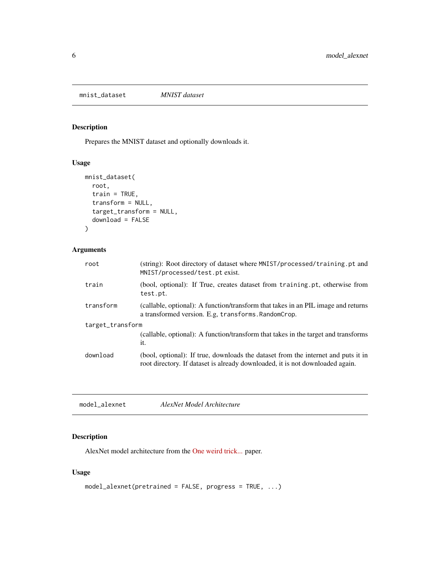<span id="page-5-0"></span>mnist\_dataset *MNIST dataset*

## Description

Prepares the MNIST dataset and optionally downloads it.

## Usage

```
mnist_dataset(
 root,
 train = TRUE,
 transform = NULL,
 target_transform = NULL,
 download = FALSE
)
```
## Arguments

| train<br>test.pt.<br>transform<br>a transformed version. E.g. transforms. RandomCrop.<br>target_transform<br>it.<br>download<br>root directory. If dataset is already downloaded, it is not downloaded again. | root | (string): Root directory of dataset where MNIST/processed/training.pt and<br>MNIST/processed/test.pt exist. |  |
|---------------------------------------------------------------------------------------------------------------------------------------------------------------------------------------------------------------|------|-------------------------------------------------------------------------------------------------------------|--|
|                                                                                                                                                                                                               |      | (bool, optional): If True, creates dataset from training.pt, otherwise from                                 |  |
|                                                                                                                                                                                                               |      | (callable, optional): A function/transform that takes in an PIL image and returns                           |  |
|                                                                                                                                                                                                               |      |                                                                                                             |  |
|                                                                                                                                                                                                               |      | (callable, optional): A function/transform that takes in the target and transforms                          |  |
|                                                                                                                                                                                                               |      | (bool, optional): If true, downloads the dataset from the internet and puts it in                           |  |

<span id="page-5-1"></span>

| model alexnet | AlexNet Model Architecture |  |
|---------------|----------------------------|--|
|---------------|----------------------------|--|

## Description

AlexNet model architecture from the [One weird trick...](https://arxiv.org/abs/1404.5997) paper.

## Usage

```
model_alexnet(pretrained = FALSE, progress = TRUE, ...)
```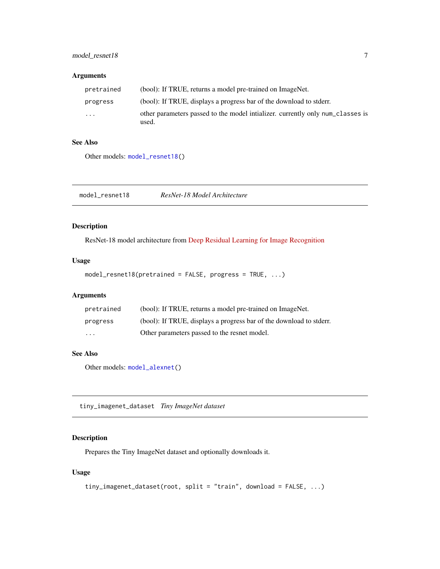## <span id="page-6-0"></span>model\_resnet18 7

## Arguments

| pretrained              | (bool): If TRUE, returns a model pre-trained on ImageNet.                               |
|-------------------------|-----------------------------------------------------------------------------------------|
| progress                | (bool): If TRUE, displays a progress bar of the download to stder.                      |
| $\cdot$ $\cdot$ $\cdot$ | other parameters passed to the model intializer, currently only num classes is<br>used. |

## See Also

Other models: [model\\_resnet18\(](#page-6-1))

<span id="page-6-1"></span>model\_resnet18 *ResNet-18 Model Architecture*

## Description

ResNet-18 model architecture from [Deep Residual Learning for Image Recognition](https://arxiv.org/pdf/1512.03385.pdf)

## Usage

```
model_resnet18(pretrained = FALSE, progress = TRUE, ...)
```
## Arguments

| pretrained              | (bool): If TRUE, returns a model pre-trained on ImageNet.          |
|-------------------------|--------------------------------------------------------------------|
| progress                | (bool): If TRUE, displays a progress bar of the download to stder. |
| $\cdot$ $\cdot$ $\cdot$ | Other parameters passed to the resnet model.                       |

## See Also

Other models: [model\\_alexnet\(](#page-5-1))

tiny\_imagenet\_dataset *Tiny ImageNet dataset*

## Description

Prepares the Tiny ImageNet dataset and optionally downloads it.

#### Usage

```
tiny_imagenet_dataset(root, split = "train", download = FALSE, ...)
```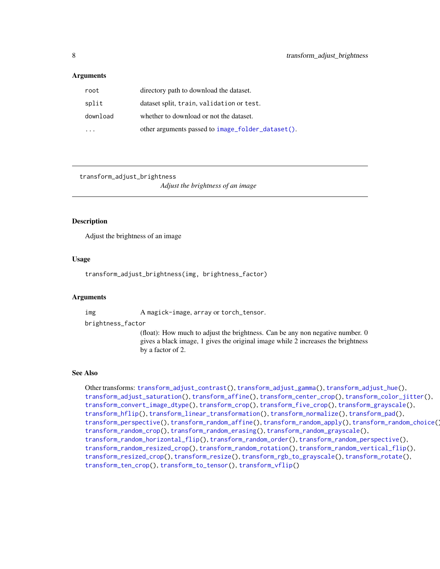#### <span id="page-7-0"></span>Arguments

| root     | directory path to download the dataset.           |
|----------|---------------------------------------------------|
| split    | dataset split, train, validation or test.         |
| download | whether to download or not the dataset.           |
|          | other arguments passed to image_folder_dataset(). |

<span id="page-7-1"></span>transform\_adjust\_brightness

*Adjust the brightness of an image*

## Description

Adjust the brightness of an image

#### Usage

transform\_adjust\_brightness(img, brightness\_factor)

## Arguments

img A magick-image, array or torch\_tensor.

brightness\_factor

(float): How much to adjust the brightness. Can be any non negative number. 0 gives a black image, 1 gives the original image while 2 increases the brightness by a factor of 2.

#### See Also

Other transforms: [transform\\_adjust\\_contrast\(](#page-8-1)), [transform\\_adjust\\_gamma\(](#page-8-2)), [transform\\_adjust\\_hue\(](#page-9-1)), [transform\\_adjust\\_saturation\(](#page-10-1)), [transform\\_affine\(](#page-11-1)), [transform\\_center\\_crop\(](#page-12-1)), [transform\\_color\\_jitter\(](#page-13-1)), [transform\\_convert\\_image\\_dtype\(](#page-14-1)), [transform\\_crop\(](#page-14-2)), [transform\\_five\\_crop\(](#page-15-1)), [transform\\_grayscale\(](#page-16-1)), [transform\\_hflip\(](#page-17-1)), [transform\\_linear\\_transformation\(](#page-17-2)), [transform\\_normalize\(](#page-18-1)), [transform\\_pad\(](#page-19-1)), [transform\\_perspective\(](#page-20-1)), [transform\\_random\\_affine\(](#page-21-1)), [transform\\_random\\_apply\(](#page-22-1)), [transform\\_random\\_choice\(](#page-23-1)), [transform\\_random\\_crop\(](#page-24-1)), [transform\\_random\\_erasing\(](#page-25-1)), [transform\\_random\\_grayscale\(](#page-26-1)), [transform\\_random\\_horizontal\\_flip\(](#page-27-1)), [transform\\_random\\_order\(](#page-27-2)), [transform\\_random\\_perspective\(](#page-28-1)), [transform\\_random\\_resized\\_crop\(](#page-29-1)), [transform\\_random\\_rotation\(](#page-30-1)), [transform\\_random\\_vertical\\_flip\(](#page-31-1)), [transform\\_resized\\_crop\(](#page-33-1)), [transform\\_resize\(](#page-32-1)), [transform\\_rgb\\_to\\_grayscale\(](#page-34-1)), [transform\\_rotate\(](#page-34-2)), [transform\\_ten\\_crop\(](#page-35-1)), [transform\\_to\\_tensor\(](#page-36-1)), [transform\\_vflip\(](#page-37-1))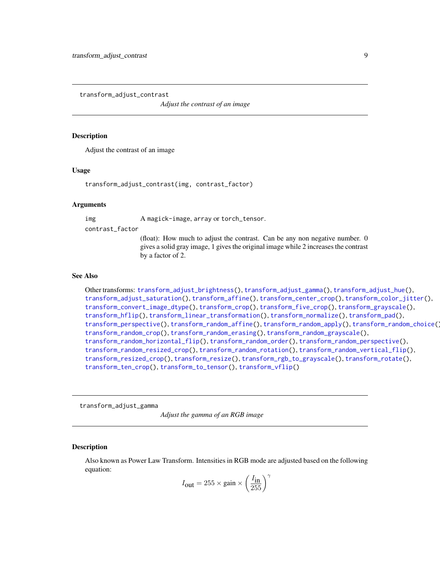<span id="page-8-1"></span><span id="page-8-0"></span>transform\_adjust\_contrast

*Adjust the contrast of an image*

#### **Description**

Adjust the contrast of an image

#### Usage

transform\_adjust\_contrast(img, contrast\_factor)

#### Arguments

img A magick-image, array or torch\_tensor.

contrast\_factor

(float): How much to adjust the contrast. Can be any non negative number. 0 gives a solid gray image, 1 gives the original image while 2 increases the contrast by a factor of 2.

#### See Also

Other transforms: [transform\\_adjust\\_brightness\(](#page-7-1)), [transform\\_adjust\\_gamma\(](#page-8-2)), [transform\\_adjust\\_hue\(](#page-9-1)), [transform\\_adjust\\_saturation\(](#page-10-1)), [transform\\_affine\(](#page-11-1)), [transform\\_center\\_crop\(](#page-12-1)), [transform\\_color\\_jitter\(](#page-13-1)), [transform\\_convert\\_image\\_dtype\(](#page-14-1)), [transform\\_crop\(](#page-14-2)), [transform\\_five\\_crop\(](#page-15-1)), [transform\\_grayscale\(](#page-16-1)), [transform\\_hflip\(](#page-17-1)), [transform\\_linear\\_transformation\(](#page-17-2)), [transform\\_normalize\(](#page-18-1)), [transform\\_pad\(](#page-19-1)), [transform\\_perspective\(](#page-20-1)), [transform\\_random\\_affine\(](#page-21-1)), [transform\\_random\\_apply\(](#page-22-1)), [transform\\_random\\_choice\(](#page-23-1)), [transform\\_random\\_crop\(](#page-24-1)), [transform\\_random\\_erasing\(](#page-25-1)), [transform\\_random\\_grayscale\(](#page-26-1)), [transform\\_random\\_horizontal\\_flip\(](#page-27-1)), [transform\\_random\\_order\(](#page-27-2)), [transform\\_random\\_perspective\(](#page-28-1)), [transform\\_random\\_resized\\_crop\(](#page-29-1)), [transform\\_random\\_rotation\(](#page-30-1)), [transform\\_random\\_vertical\\_flip\(](#page-31-1)), [transform\\_resized\\_crop\(](#page-33-1)), [transform\\_resize\(](#page-32-1)), [transform\\_rgb\\_to\\_grayscale\(](#page-34-1)), [transform\\_rotate\(](#page-34-2)), [transform\\_ten\\_crop\(](#page-35-1)), [transform\\_to\\_tensor\(](#page-36-1)), [transform\\_vflip\(](#page-37-1))

<span id="page-8-2"></span>transform\_adjust\_gamma

*Adjust the gamma of an RGB image*

#### Description

Also known as Power Law Transform. Intensities in RGB mode are adjusted based on the following equation:

$$
I_{\text{out}} = 255 \times \text{gain} \times \left(\frac{I_{\text{in}}}{255}\right)^{\gamma}
$$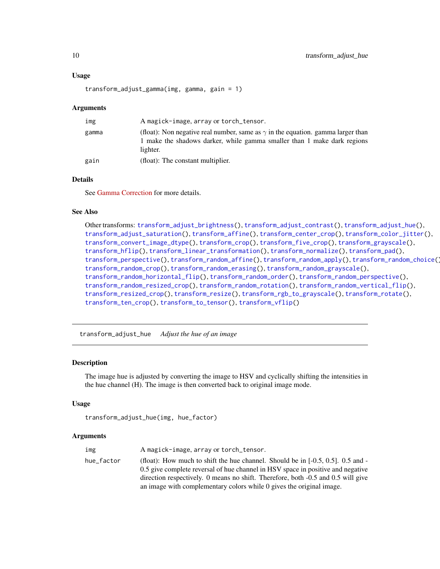#### Usage

```
transform_adjust_gamma(img, gamma, gain = 1)
```
#### Arguments

| img   | A magick-image, array or torch_tensor.                                                                                                                                        |
|-------|-------------------------------------------------------------------------------------------------------------------------------------------------------------------------------|
| gamma | (float): Non negative real number, same as $\gamma$ in the equation. gamma larger than<br>1 make the shadows darker, while gamma smaller than 1 make dark regions<br>lighter. |
| gain  | (float): The constant multiplier.                                                                                                                                             |

## Details

See [Gamma Correction](https://en.wikipedia.org/wiki/Gamma_correction) for more details.

#### See Also

Other transforms: [transform\\_adjust\\_brightness\(](#page-7-1)), [transform\\_adjust\\_contrast\(](#page-8-1)), [transform\\_adjust\\_hue\(](#page-9-1)), [transform\\_adjust\\_saturation\(](#page-10-1)), [transform\\_affine\(](#page-11-1)), [transform\\_center\\_crop\(](#page-12-1)), [transform\\_color\\_jitter\(](#page-13-1)), [transform\\_convert\\_image\\_dtype\(](#page-14-1)), [transform\\_crop\(](#page-14-2)), [transform\\_five\\_crop\(](#page-15-1)), [transform\\_grayscale\(](#page-16-1)), [transform\\_hflip\(](#page-17-1)), [transform\\_linear\\_transformation\(](#page-17-2)), [transform\\_normalize\(](#page-18-1)), [transform\\_pad\(](#page-19-1)), [transform\\_perspective\(](#page-20-1)), [transform\\_random\\_affine\(](#page-21-1)), [transform\\_random\\_apply\(](#page-22-1)), [transform\\_random\\_choice\(](#page-23-1)), [transform\\_random\\_crop\(](#page-24-1)), [transform\\_random\\_erasing\(](#page-25-1)), [transform\\_random\\_grayscale\(](#page-26-1)), [transform\\_random\\_horizontal\\_flip\(](#page-27-1)), [transform\\_random\\_order\(](#page-27-2)), [transform\\_random\\_perspective\(](#page-28-1)), [transform\\_random\\_resized\\_crop\(](#page-29-1)), [transform\\_random\\_rotation\(](#page-30-1)), [transform\\_random\\_vertical\\_flip\(](#page-31-1)), [transform\\_resized\\_crop\(](#page-33-1)), [transform\\_resize\(](#page-32-1)), [transform\\_rgb\\_to\\_grayscale\(](#page-34-1)), [transform\\_rotate\(](#page-34-2)), [transform\\_ten\\_crop\(](#page-35-1)), [transform\\_to\\_tensor\(](#page-36-1)), [transform\\_vflip\(](#page-37-1))

<span id="page-9-1"></span>transform\_adjust\_hue *Adjust the hue of an image*

#### Description

The image hue is adjusted by converting the image to HSV and cyclically shifting the intensities in the hue channel (H). The image is then converted back to original image mode.

#### Usage

```
transform_adjust_hue(img, hue_factor)
```

| img        | A magick-image, array or torch_tensor.                                                                                                                                                                                                                                                                                            |
|------------|-----------------------------------------------------------------------------------------------------------------------------------------------------------------------------------------------------------------------------------------------------------------------------------------------------------------------------------|
| hue factor | (float): How much to shift the hue channel. Should be in $[-0.5, 0.5]$ . 0.5 and -<br>0.5 give complete reversal of hue channel in HSV space in positive and negative<br>direction respectively. 0 means no shift. Therefore, both -0.5 and 0.5 will give<br>an image with complementary colors while 0 gives the original image. |

<span id="page-9-0"></span>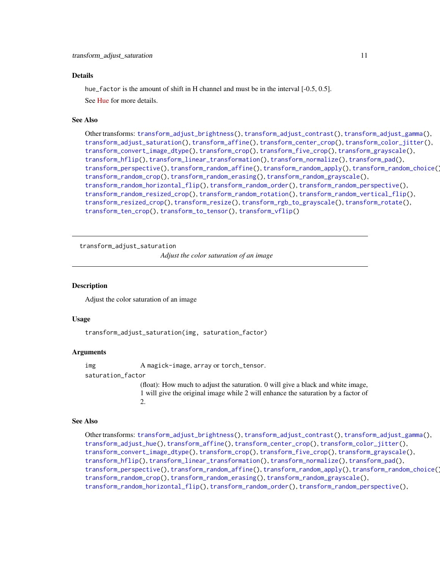#### <span id="page-10-0"></span>Details

hue\_factor is the amount of shift in H channel and must be in the interval [-0.5, 0.5]. See [Hue](https://en.wikipedia.org/wiki/Hue) for more details.

#### See Also

```
Other transforms: transform_adjust_brightness(), transform_adjust_contrast(), transform_adjust_gamma(),
transform_adjust_saturation(), transform_affine(), transform_center_crop(), transform_color_jitter(),
transform_convert_image_dtype(), transform_crop(), transform_five_crop(), transform_grayscale(),
transform_hflip(), transform_linear_transformation(), transform_normalize(), transform_pad(),
transform_perspective(), transform_random_affine(), transform_random_apply(), transform_random_choice(),
transform_random_crop(), transform_random_erasing(), transform_random_grayscale(),
transform_random_horizontal_flip(), transform_random_order(), transform_random_perspective(),
transform_random_resized_crop(), transform_random_rotation(), transform_random_vertical_flip(),
transform_resized_crop(), transform_resize(), transform_rgb_to_grayscale(), transform_rotate(),
transform_ten_crop(), transform_to_tensor(), transform_vflip()
```
<span id="page-10-1"></span>transform\_adjust\_saturation

*Adjust the color saturation of an image*

#### **Description**

Adjust the color saturation of an image

## Usage

transform\_adjust\_saturation(img, saturation\_factor)

#### Arguments

img A magick-image, array or torch\_tensor.

saturation\_factor

(float): How much to adjust the saturation. 0 will give a black and white image, 1 will give the original image while 2 will enhance the saturation by a factor of 2.

#### See Also

Other transforms: [transform\\_adjust\\_brightness\(](#page-7-1)), [transform\\_adjust\\_contrast\(](#page-8-1)), [transform\\_adjust\\_gamma\(](#page-8-2)), [transform\\_adjust\\_hue\(](#page-9-1)), [transform\\_affine\(](#page-11-1)), [transform\\_center\\_crop\(](#page-12-1)), [transform\\_color\\_jitter\(](#page-13-1)), [transform\\_convert\\_image\\_dtype\(](#page-14-1)), [transform\\_crop\(](#page-14-2)), [transform\\_five\\_crop\(](#page-15-1)), [transform\\_grayscale\(](#page-16-1)), [transform\\_hflip\(](#page-17-1)), [transform\\_linear\\_transformation\(](#page-17-2)), [transform\\_normalize\(](#page-18-1)), [transform\\_pad\(](#page-19-1)), [transform\\_perspective\(](#page-20-1)), [transform\\_random\\_affine\(](#page-21-1)), [transform\\_random\\_apply\(](#page-22-1)), [transform\\_random\\_choice\(](#page-23-1)), [transform\\_random\\_crop\(](#page-24-1)), [transform\\_random\\_erasing\(](#page-25-1)), [transform\\_random\\_grayscale\(](#page-26-1)), [transform\\_random\\_horizontal\\_flip\(](#page-27-1)), [transform\\_random\\_order\(](#page-27-2)), [transform\\_random\\_perspective\(](#page-28-1)),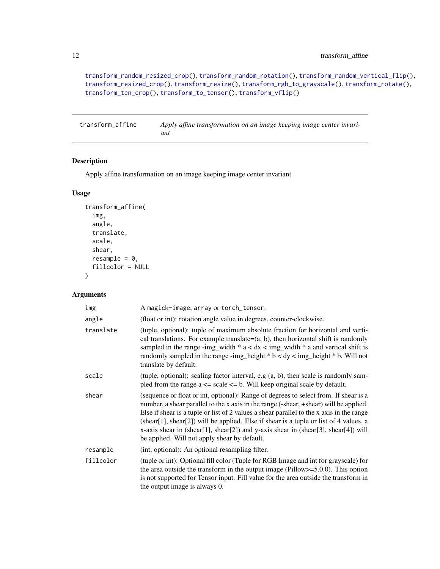[transform\\_random\\_resized\\_crop\(](#page-29-1)), [transform\\_random\\_rotation\(](#page-30-1)), [transform\\_random\\_vertical\\_flip\(](#page-31-1)), [transform\\_resized\\_crop\(](#page-33-1)), [transform\\_resize\(](#page-32-1)), [transform\\_rgb\\_to\\_grayscale\(](#page-34-1)), [transform\\_rotate\(](#page-34-2)), [transform\\_ten\\_crop\(](#page-35-1)), [transform\\_to\\_tensor\(](#page-36-1)), [transform\\_vflip\(](#page-37-1))

<span id="page-11-1"></span>transform\_affine *Apply affine transformation on an image keeping image center invariant*

#### Description

Apply affine transformation on an image keeping image center invariant

## Usage

```
transform_affine(
  img,
  angle,
  translate,
  scale,
  shear,
 resample = 0,
  fillcolor = NULL
)
```

| img       | A magick-image, array or torch_tensor.                                                                                                                                                                                                                                                                                                                                                                                                                                                                   |
|-----------|----------------------------------------------------------------------------------------------------------------------------------------------------------------------------------------------------------------------------------------------------------------------------------------------------------------------------------------------------------------------------------------------------------------------------------------------------------------------------------------------------------|
| angle     | (float or int): rotation angle value in degrees, counter-clockwise.                                                                                                                                                                                                                                                                                                                                                                                                                                      |
| translate | (tuple, optional): tuple of maximum absolute fraction for horizontal and verti-<br>cal translations. For example translate= $(a, b)$ , then horizontal shift is randomly<br>sampled in the range -img_width $* a < dx <$ img_width $* a$ and vertical shift is<br>randomly sampled in the range -img_height $*$ b < dy < img_height $*$ b. Will not<br>translate by default.                                                                                                                             |
| scale     | (tuple, optional): scaling factor interval, e.g $(a, b)$ , then scale is randomly sam-<br>pled from the range $a \leq$ scale $\leq$ b. Will keep original scale by default.                                                                                                                                                                                                                                                                                                                              |
| shear     | (sequence or float or int, optional): Range of degrees to select from. If shear is a<br>number, a shear parallel to the x axis in the range (-shear, +shear) will be applied.<br>Else if shear is a tuple or list of 2 values a shear parallel to the x axis in the range<br>(shear[1], shear[2]) will be applied. Else if shear is a tuple or list of 4 values, a<br>x-axis shear in (shear[1], shear[2]) and y-axis shear in (shear[3], shear[4]) will<br>be applied. Will not apply shear by default. |
| resample  | (int, optional): An optional resampling filter.                                                                                                                                                                                                                                                                                                                                                                                                                                                          |
| fillcolor | (tuple or int): Optional fill color (Tuple for RGB Image and int for grayscale) for<br>the area outside the transform in the output image (Pillow $>=$ 5.0.0). This option<br>is not supported for Tensor input. Fill value for the area outside the transform in<br>the output image is always 0.                                                                                                                                                                                                       |

<span id="page-11-0"></span>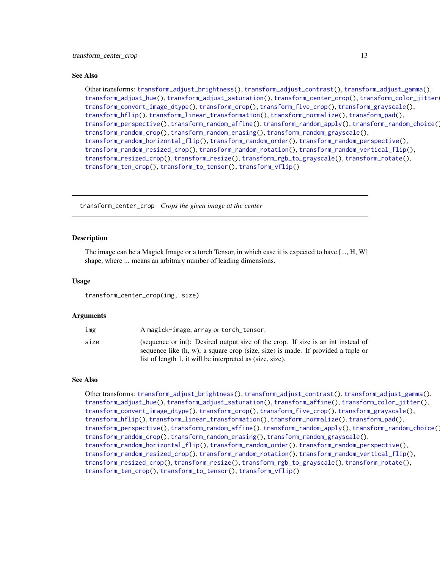<span id="page-12-0"></span>Other transforms: [transform\\_adjust\\_brightness\(](#page-7-1)), [transform\\_adjust\\_contrast\(](#page-8-1)), [transform\\_adjust\\_gamma\(](#page-8-2)), [transform\\_adjust\\_hue\(](#page-9-1)), [transform\\_adjust\\_saturation\(](#page-10-1)), [transform\\_center\\_crop\(](#page-12-1)), [transform\\_color\\_jitter\(](#page-13-1)), [transform\\_convert\\_image\\_dtype\(](#page-14-1)), [transform\\_crop\(](#page-14-2)), [transform\\_five\\_crop\(](#page-15-1)), [transform\\_grayscale\(](#page-16-1)), [transform\\_hflip\(](#page-17-1)), [transform\\_linear\\_transformation\(](#page-17-2)), [transform\\_normalize\(](#page-18-1)), [transform\\_pad\(](#page-19-1)), [transform\\_perspective\(](#page-20-1)), [transform\\_random\\_affine\(](#page-21-1)), [transform\\_random\\_apply\(](#page-22-1)), [transform\\_random\\_choice\(](#page-23-1)), [transform\\_random\\_crop\(](#page-24-1)), [transform\\_random\\_erasing\(](#page-25-1)), [transform\\_random\\_grayscale\(](#page-26-1)), [transform\\_random\\_horizontal\\_flip\(](#page-27-1)), [transform\\_random\\_order\(](#page-27-2)), [transform\\_random\\_perspective\(](#page-28-1)), [transform\\_random\\_resized\\_crop\(](#page-29-1)), [transform\\_random\\_rotation\(](#page-30-1)), [transform\\_random\\_vertical\\_flip\(](#page-31-1)), [transform\\_resized\\_crop\(](#page-33-1)), [transform\\_resize\(](#page-32-1)), [transform\\_rgb\\_to\\_grayscale\(](#page-34-1)), [transform\\_rotate\(](#page-34-2)), [transform\\_ten\\_crop\(](#page-35-1)), [transform\\_to\\_tensor\(](#page-36-1)), [transform\\_vflip\(](#page-37-1))

<span id="page-12-1"></span>transform\_center\_crop *Crops the given image at the center*

## Description

The image can be a Magick Image or a torch Tensor, in which case it is expected to have [..., H, W] shape, where ... means an arbitrary number of leading dimensions.

#### Usage

transform\_center\_crop(img, size)

#### Arguments

| img  | A magick-image, array or torch_tensor.                                                                                                                                                                                            |
|------|-----------------------------------------------------------------------------------------------------------------------------------------------------------------------------------------------------------------------------------|
| size | (sequence or int): Desired output size of the crop. If size is an int instead of<br>sequence like (h, w), a square crop (size, size) is made. If provided a tuple or<br>list of length 1, it will be interpreted as (size, size). |

#### See Also

Other transforms: [transform\\_adjust\\_brightness\(](#page-7-1)), [transform\\_adjust\\_contrast\(](#page-8-1)), [transform\\_adjust\\_gamma\(](#page-8-2)), [transform\\_adjust\\_hue\(](#page-9-1)), [transform\\_adjust\\_saturation\(](#page-10-1)), [transform\\_affine\(](#page-11-1)), [transform\\_color\\_jitter\(](#page-13-1)), [transform\\_convert\\_image\\_dtype\(](#page-14-1)), [transform\\_crop\(](#page-14-2)), [transform\\_five\\_crop\(](#page-15-1)), [transform\\_grayscale\(](#page-16-1)), [transform\\_hflip\(](#page-17-1)), [transform\\_linear\\_transformation\(](#page-17-2)), [transform\\_normalize\(](#page-18-1)), [transform\\_pad\(](#page-19-1)), [transform\\_perspective\(](#page-20-1)), [transform\\_random\\_affine\(](#page-21-1)), [transform\\_random\\_apply\(](#page-22-1)), [transform\\_random\\_choice\(](#page-23-1)), [transform\\_random\\_crop\(](#page-24-1)), [transform\\_random\\_erasing\(](#page-25-1)), [transform\\_random\\_grayscale\(](#page-26-1)), [transform\\_random\\_horizontal\\_flip\(](#page-27-1)), [transform\\_random\\_order\(](#page-27-2)), [transform\\_random\\_perspective\(](#page-28-1)), [transform\\_random\\_resized\\_crop\(](#page-29-1)), [transform\\_random\\_rotation\(](#page-30-1)), [transform\\_random\\_vertical\\_flip\(](#page-31-1)), [transform\\_resized\\_crop\(](#page-33-1)), [transform\\_resize\(](#page-32-1)), [transform\\_rgb\\_to\\_grayscale\(](#page-34-1)), [transform\\_rotate\(](#page-34-2)), [transform\\_ten\\_crop\(](#page-35-1)), [transform\\_to\\_tensor\(](#page-36-1)), [transform\\_vflip\(](#page-37-1))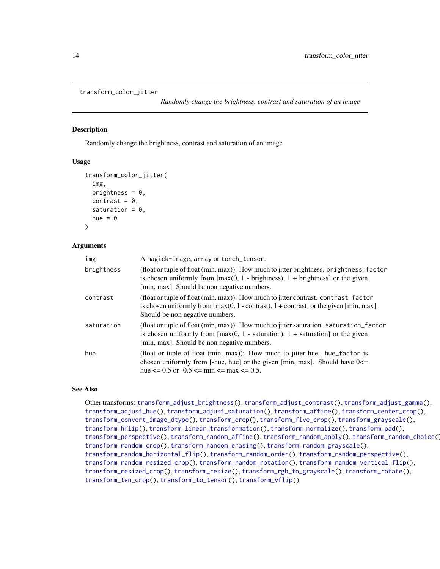```
transform_color_jitter
```
*Randomly change the brightness, contrast and saturation of an image*

## Description

Randomly change the brightness, contrast and saturation of an image

#### Usage

```
transform_color_jitter(
  img,
  brightness = 0,
  contrast = 0,
  saturation = 0,
  hue = \theta)
```
#### Arguments

| img        | A magick-image, array or torch_tensor.                                                                                                                                                                                                                  |
|------------|---------------------------------------------------------------------------------------------------------------------------------------------------------------------------------------------------------------------------------------------------------|
| brightness | (float or tuple of float (min, max)): How much to jitter brightness. brightness_factor<br>is chosen uniformly from $[\max(0, 1 - \text{brightness})$ , $1 + \text{brightness}]$ or the given<br>[min, max]. Should be non negative numbers.             |
| contrast   | (float or tuple of float (min, max)): How much to jitter contrast. contrast_factor<br>is chosen uniformly from $\lceil \max(0, 1 - \text{contrast}) \rceil$ , 1 + contrast or the given $\lceil \min, \max \rceil$ .<br>Should be non negative numbers. |
| saturation | (float or tuple of float (min, max)): How much to jitter saturation. saturation_factor<br>is chosen uniformly from $[\max(0, 1 - saturation), 1 + saturation]$ or the given<br>[min, max]. Should be non negative numbers.                              |
| hue        | (float or tuple of float (min, max)): How much to jitter hue. hue_factor is<br>chosen uniformly from [-hue, hue] or the given [min, max]. Should have $0 \le$<br>hue $\leq$ 0.5 or -0.5 $\leq$ min $\leq$ max $\leq$ 0.5.                               |

## See Also

Other transforms: [transform\\_adjust\\_brightness\(](#page-7-1)), [transform\\_adjust\\_contrast\(](#page-8-1)), [transform\\_adjust\\_gamma\(](#page-8-2)), [transform\\_adjust\\_hue\(](#page-9-1)), [transform\\_adjust\\_saturation\(](#page-10-1)), [transform\\_affine\(](#page-11-1)), [transform\\_center\\_crop\(](#page-12-1)), [transform\\_convert\\_image\\_dtype\(](#page-14-1)), [transform\\_crop\(](#page-14-2)), [transform\\_five\\_crop\(](#page-15-1)), [transform\\_grayscale\(](#page-16-1)), [transform\\_hflip\(](#page-17-1)), [transform\\_linear\\_transformation\(](#page-17-2)), [transform\\_normalize\(](#page-18-1)), [transform\\_pad\(](#page-19-1)), [transform\\_perspective\(](#page-20-1)), [transform\\_random\\_affine\(](#page-21-1)), [transform\\_random\\_apply\(](#page-22-1)), [transform\\_random\\_choice\(](#page-23-1)), [transform\\_random\\_crop\(](#page-24-1)), [transform\\_random\\_erasing\(](#page-25-1)), [transform\\_random\\_grayscale\(](#page-26-1)), [transform\\_random\\_horizontal\\_flip\(](#page-27-1)), [transform\\_random\\_order\(](#page-27-2)), [transform\\_random\\_perspective\(](#page-28-1)), [transform\\_random\\_resized\\_crop\(](#page-29-1)), [transform\\_random\\_rotation\(](#page-30-1)), [transform\\_random\\_vertical\\_flip\(](#page-31-1)), [transform\\_resized\\_crop\(](#page-33-1)), [transform\\_resize\(](#page-32-1)), [transform\\_rgb\\_to\\_grayscale\(](#page-34-1)), [transform\\_rotate\(](#page-34-2)), [transform\\_ten\\_crop\(](#page-35-1)), [transform\\_to\\_tensor\(](#page-36-1)), [transform\\_vflip\(](#page-37-1))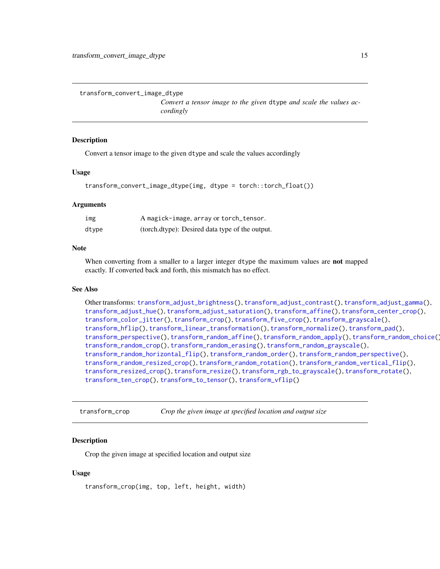<span id="page-14-1"></span><span id="page-14-0"></span>transform\_convert\_image\_dtype

*Convert a tensor image to the given* dtype *and scale the values accordingly*

#### Description

Convert a tensor image to the given dtype and scale the values accordingly

#### Usage

```
transform_convert_image_dtype(img, dtype = torch::torch_float())
```
#### Arguments

| img   | A magick-image, array or torch_tensor.          |
|-------|-------------------------------------------------|
| dtype | (torch.dtype): Desired data type of the output. |

## Note

When converting from a smaller to a larger integer dtype the maximum values are **not** mapped exactly. If converted back and forth, this mismatch has no effect.

#### See Also

```
Other transforms: transform_adjust_brightness(), transform_adjust_contrast(), transform_adjust_gamma(),
transform_adjust_hue(), transform_adjust_saturation(), transform_affine(), transform_center_crop(),
transform_color_jitter(), transform_crop(), transform_five_crop(), transform_grayscale(),
transform_hflip(), transform_linear_transformation(), transform_normalize(), transform_pad(),
transform_perspective(), transform_random_affine(), transform_random_apply(), transform_random_choice(),
transform_random_crop(), transform_random_erasing(), transform_random_grayscale(),
transform_random_horizontal_flip(), transform_random_order(), transform_random_perspective(),
transform_random_resized_crop(), transform_random_rotation(), transform_random_vertical_flip(),
transform_resized_crop(), transform_resize(), transform_rgb_to_grayscale(), transform_rotate(),
transform_ten_crop(), transform_to_tensor(), transform_vflip()
```
<span id="page-14-2"></span>transform\_crop *Crop the given image at specified location and output size*

## **Description**

Crop the given image at specified location and output size

## Usage

transform\_crop(img, top, left, height, width)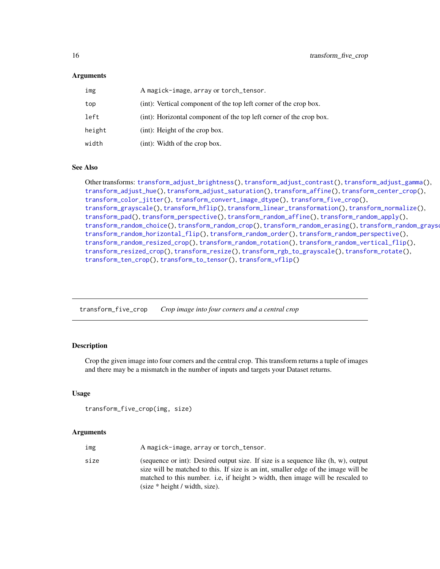## <span id="page-15-0"></span>Arguments

| img    | A magick-image, array or torch_tensor.                              |
|--------|---------------------------------------------------------------------|
| top    | (int): Vertical component of the top left corner of the crop box.   |
| left   | (int): Horizontal component of the top left corner of the crop box. |
| height | $(int)$ : Height of the crop box.                                   |
| width  | (int): Width of the crop box.                                       |

#### See Also

Other transforms: [transform\\_adjust\\_brightness\(](#page-7-1)), [transform\\_adjust\\_contrast\(](#page-8-1)), [transform\\_adjust\\_gamma\(](#page-8-2)), [transform\\_adjust\\_hue\(](#page-9-1)), [transform\\_adjust\\_saturation\(](#page-10-1)), [transform\\_affine\(](#page-11-1)), [transform\\_center\\_crop\(](#page-12-1)), [transform\\_color\\_jitter\(](#page-13-1)), [transform\\_convert\\_image\\_dtype\(](#page-14-1)), [transform\\_five\\_crop\(](#page-15-1)), [transform\\_grayscale\(](#page-16-1)), [transform\\_hflip\(](#page-17-1)), [transform\\_linear\\_transformation\(](#page-17-2)), [transform\\_normalize\(](#page-18-1)), [transform\\_pad\(](#page-19-1)), [transform\\_perspective\(](#page-20-1)), [transform\\_random\\_affine\(](#page-21-1)), [transform\\_random\\_apply\(](#page-22-1)), [transform\\_random\\_choice\(](#page-23-1)), [transform\\_random\\_crop\(](#page-24-1)), [transform\\_random\\_erasing\(](#page-25-1)), [transform\\_random\\_grayscale\(](#page-26-1)), [transform\\_random\\_horizontal\\_flip\(](#page-27-1)), [transform\\_random\\_order\(](#page-27-2)), [transform\\_random\\_perspective\(](#page-28-1)), [transform\\_random\\_resized\\_crop\(](#page-29-1)), [transform\\_random\\_rotation\(](#page-30-1)), [transform\\_random\\_vertical\\_flip\(](#page-31-1)), [transform\\_resized\\_crop\(](#page-33-1)), [transform\\_resize\(](#page-32-1)), [transform\\_rgb\\_to\\_grayscale\(](#page-34-1)), [transform\\_rotate\(](#page-34-2)), [transform\\_ten\\_crop\(](#page-35-1)), [transform\\_to\\_tensor\(](#page-36-1)), [transform\\_vflip\(](#page-37-1))

<span id="page-15-1"></span>transform\_five\_crop *Crop image into four corners and a central crop*

#### Description

Crop the given image into four corners and the central crop. This transform returns a tuple of images and there may be a mismatch in the number of inputs and targets your Dataset returns.

#### Usage

```
transform_five_crop(img, size)
```

| img  | A magick-image, array or torch_tensor.                                                                                                                                                                                                                                                            |
|------|---------------------------------------------------------------------------------------------------------------------------------------------------------------------------------------------------------------------------------------------------------------------------------------------------|
| size | (sequence or int): Desired output size. If size is a sequence like $(h, w)$ , output<br>size will be matched to this. If size is an int, smaller edge of the image will be<br>matched to this number. i.e., if height > width, then image will be rescaled to<br>$(size * height / width, size).$ |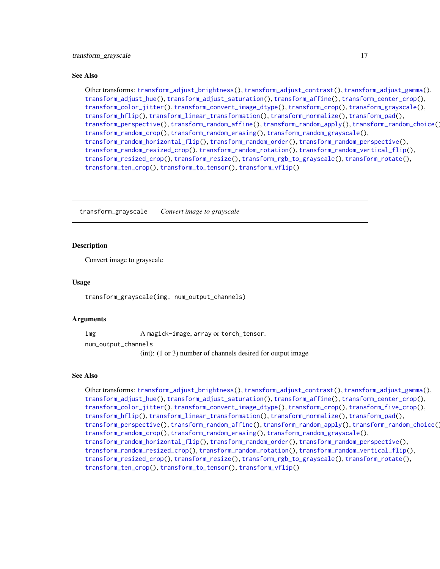<span id="page-16-0"></span>Other transforms: [transform\\_adjust\\_brightness\(](#page-7-1)), [transform\\_adjust\\_contrast\(](#page-8-1)), [transform\\_adjust\\_gamma\(](#page-8-2)), [transform\\_adjust\\_hue\(](#page-9-1)), [transform\\_adjust\\_saturation\(](#page-10-1)), [transform\\_affine\(](#page-11-1)), [transform\\_center\\_crop\(](#page-12-1)), [transform\\_color\\_jitter\(](#page-13-1)), [transform\\_convert\\_image\\_dtype\(](#page-14-1)), [transform\\_crop\(](#page-14-2)), [transform\\_grayscale\(](#page-16-1)), [transform\\_hflip\(](#page-17-1)), [transform\\_linear\\_transformation\(](#page-17-2)), [transform\\_normalize\(](#page-18-1)), [transform\\_pad\(](#page-19-1)), [transform\\_perspective\(](#page-20-1)), [transform\\_random\\_affine\(](#page-21-1)), [transform\\_random\\_apply\(](#page-22-1)), [transform\\_random\\_choice\(](#page-23-1)), [transform\\_random\\_crop\(](#page-24-1)), [transform\\_random\\_erasing\(](#page-25-1)), [transform\\_random\\_grayscale\(](#page-26-1)), [transform\\_random\\_horizontal\\_flip\(](#page-27-1)), [transform\\_random\\_order\(](#page-27-2)), [transform\\_random\\_perspective\(](#page-28-1)), [transform\\_random\\_resized\\_crop\(](#page-29-1)), [transform\\_random\\_rotation\(](#page-30-1)), [transform\\_random\\_vertical\\_flip\(](#page-31-1)), [transform\\_resized\\_crop\(](#page-33-1)), [transform\\_resize\(](#page-32-1)), [transform\\_rgb\\_to\\_grayscale\(](#page-34-1)), [transform\\_rotate\(](#page-34-2)), [transform\\_ten\\_crop\(](#page-35-1)), [transform\\_to\\_tensor\(](#page-36-1)), [transform\\_vflip\(](#page-37-1))

<span id="page-16-1"></span>transform\_grayscale *Convert image to grayscale*

#### **Description**

Convert image to grayscale

#### Usage

transform\_grayscale(img, num\_output\_channels)

#### Arguments

img A magick-image, array or torch\_tensor.

num\_output\_channels

(int): (1 or 3) number of channels desired for output image

#### See Also

Other transforms: [transform\\_adjust\\_brightness\(](#page-7-1)), [transform\\_adjust\\_contrast\(](#page-8-1)), [transform\\_adjust\\_gamma\(](#page-8-2)), [transform\\_adjust\\_hue\(](#page-9-1)), [transform\\_adjust\\_saturation\(](#page-10-1)), [transform\\_affine\(](#page-11-1)), [transform\\_center\\_crop\(](#page-12-1)), [transform\\_color\\_jitter\(](#page-13-1)), [transform\\_convert\\_image\\_dtype\(](#page-14-1)), [transform\\_crop\(](#page-14-2)), [transform\\_five\\_crop\(](#page-15-1)), [transform\\_hflip\(](#page-17-1)), [transform\\_linear\\_transformation\(](#page-17-2)), [transform\\_normalize\(](#page-18-1)), [transform\\_pad\(](#page-19-1)), [transform\\_perspective\(](#page-20-1)), [transform\\_random\\_affine\(](#page-21-1)), [transform\\_random\\_apply\(](#page-22-1)), [transform\\_random\\_choice\(](#page-23-1)), [transform\\_random\\_crop\(](#page-24-1)), [transform\\_random\\_erasing\(](#page-25-1)), [transform\\_random\\_grayscale\(](#page-26-1)), [transform\\_random\\_horizontal\\_flip\(](#page-27-1)), [transform\\_random\\_order\(](#page-27-2)), [transform\\_random\\_perspective\(](#page-28-1)), [transform\\_random\\_resized\\_crop\(](#page-29-1)), [transform\\_random\\_rotation\(](#page-30-1)), [transform\\_random\\_vertical\\_flip\(](#page-31-1)), [transform\\_resized\\_crop\(](#page-33-1)), [transform\\_resize\(](#page-32-1)), [transform\\_rgb\\_to\\_grayscale\(](#page-34-1)), [transform\\_rotate\(](#page-34-2)), [transform\\_ten\\_crop\(](#page-35-1)), [transform\\_to\\_tensor\(](#page-36-1)), [transform\\_vflip\(](#page-37-1))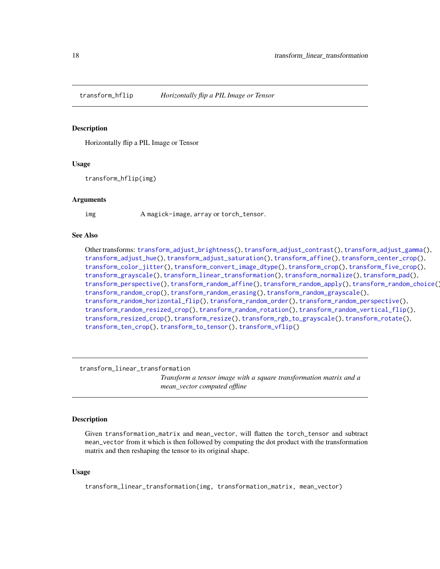<span id="page-17-1"></span><span id="page-17-0"></span>

#### Description

Horizontally flip a PIL Image or Tensor

#### Usage

transform\_hflip(img)

#### Arguments

img A magick-image, array or torch\_tensor.

## See Also

Other transforms: [transform\\_adjust\\_brightness\(](#page-7-1)), [transform\\_adjust\\_contrast\(](#page-8-1)), [transform\\_adjust\\_gamma\(](#page-8-2)), [transform\\_adjust\\_hue\(](#page-9-1)), [transform\\_adjust\\_saturation\(](#page-10-1)), [transform\\_affine\(](#page-11-1)), [transform\\_center\\_crop\(](#page-12-1)), [transform\\_color\\_jitter\(](#page-13-1)), [transform\\_convert\\_image\\_dtype\(](#page-14-1)), [transform\\_crop\(](#page-14-2)), [transform\\_five\\_crop\(](#page-15-1)), [transform\\_grayscale\(](#page-16-1)), [transform\\_linear\\_transformation\(](#page-17-2)), [transform\\_normalize\(](#page-18-1)), [transform\\_pad\(](#page-19-1)), [transform\\_perspective\(](#page-20-1)), [transform\\_random\\_affine\(](#page-21-1)), [transform\\_random\\_apply\(](#page-22-1)), [transform\\_random\\_choice\(](#page-23-1)), [transform\\_random\\_crop\(](#page-24-1)), [transform\\_random\\_erasing\(](#page-25-1)), [transform\\_random\\_grayscale\(](#page-26-1)), [transform\\_random\\_horizontal\\_flip\(](#page-27-1)), [transform\\_random\\_order\(](#page-27-2)), [transform\\_random\\_perspective\(](#page-28-1)), [transform\\_random\\_resized\\_crop\(](#page-29-1)), [transform\\_random\\_rotation\(](#page-30-1)), [transform\\_random\\_vertical\\_flip\(](#page-31-1)), [transform\\_resized\\_crop\(](#page-33-1)), [transform\\_resize\(](#page-32-1)), [transform\\_rgb\\_to\\_grayscale\(](#page-34-1)), [transform\\_rotate\(](#page-34-2)), [transform\\_ten\\_crop\(](#page-35-1)), [transform\\_to\\_tensor\(](#page-36-1)), [transform\\_vflip\(](#page-37-1))

<span id="page-17-2"></span>transform\_linear\_transformation

*Transform a tensor image with a square transformation matrix and a mean\_vector computed offline*

## Description

Given transformation\_matrix and mean\_vector, will flatten the torch\_tensor and subtract mean\_vector from it which is then followed by computing the dot product with the transformation matrix and then reshaping the tensor to its original shape.

#### Usage

transform\_linear\_transformation(img, transformation\_matrix, mean\_vector)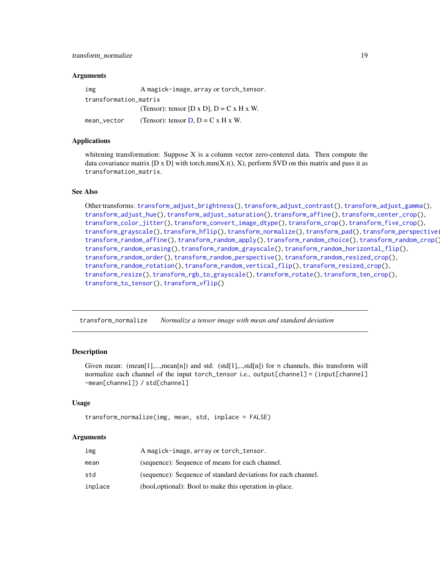## <span id="page-18-0"></span>transform\_normalize 19

#### Arguments

| img                   | A magick-image, array or torch_tensor.      |
|-----------------------|---------------------------------------------|
| transformation matrix |                                             |
|                       | (Tensor): tensor [D x D], $D = C x H x W$ . |
| mean vector           | (Tensor): tensor $D$ , $D = C x H x W$ .    |

## Applications

whitening transformation: Suppose X is a column vector zero-centered data. Then compute the data covariance matrix  $[D \times D]$  with torch.mm $(X.t(), X)$ , perform SVD on this matrix and pass it as transformation\_matrix.

#### See Also

```
Other transforms: transform_adjust_brightness(), transform_adjust_contrast(), transform_adjust_gamma(),
transform_adjust_hue(), transform_adjust_saturation(), transform_affine(), transform_center_crop(),
transform_color_jitter(), transform_convert_image_dtype(), transform_crop(), transform_five_crop(),
transform_grayscale(), transform_hflip(), transform_normalize(), transform_pad(), transform_perspective(),
transform_random_affine(), transform_random_apply(), transform_random_choice(), transform_random_crop(),
transform_random_erasing(), transform_random_grayscale(), transform_random_horizontal_flip(),
transform_random_order(), transform_random_perspective(), transform_random_resized_crop(),
transform_random_rotation(), transform_random_vertical_flip(), transform_resized_crop(),
transform_resize(), transform_rgb_to_grayscale(), transform_rotate(), transform_ten_crop(),
transform_to_tensor(), transform_vflip()
```
<span id="page-18-1"></span>transform\_normalize *Normalize a tensor image with mean and standard deviation*

#### Description

Given mean:  $(\text{mean}[1],...,\text{mean}[n])$  and std:  $(\text{std}[1],...,\text{std}[n])$  for n channels, this transform will normalize each channel of the input torch\_tensor i.e., output[channel] = (input[channel] -mean[channel]) / std[channel]

#### Usage

```
transform_normalize(img, mean, std, inplace = FALSE)
```

| img     | A magick-image, array or torch_tensor.                        |
|---------|---------------------------------------------------------------|
| mean    | (sequence): Sequence of means for each channel.               |
| std     | (sequence): Sequence of standard deviations for each channel. |
| inplace | (bool, optional): Bool to make this operation in-place.       |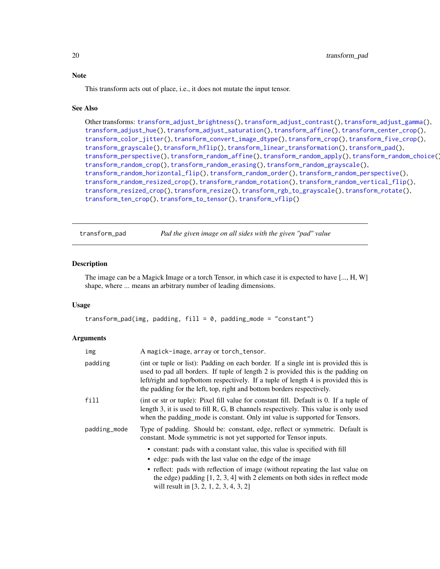This transform acts out of place, i.e., it does not mutate the input tensor.

#### See Also

```
Other transforms: transform_adjust_brightness(), transform_adjust_contrast(), transform_adjust_gamma(),
transform_adjust_hue(), transform_adjust_saturation(), transform_affine(), transform_center_crop(),
transform_color_jitter(), transform_convert_image_dtype(), transform_crop(), transform_five_crop(),
transform_grayscale(), transform_hflip(), transform_linear_transformation(), transform_pad(),
transform_perspective(), transform_random_affine(), transform_random_apply(), transform_random_choice(),
transform_random_crop(), transform_random_erasing(), transform_random_grayscale(),
transform_random_horizontal_flip(), transform_random_order(), transform_random_perspective(),
transform_random_resized_crop(), transform_random_rotation(), transform_random_vertical_flip(),
transform_resized_crop(), transform_resize(), transform_rgb_to_grayscale(), transform_rotate(),
transform_ten_crop(), transform_to_tensor(), transform_vflip()
```
<span id="page-19-1"></span>transform\_pad *Pad the given image on all sides with the given "pad" value*

#### Description

The image can be a Magick Image or a torch Tensor, in which case it is expected to have [..., H, W] shape, where ... means an arbitrary number of leading dimensions.

#### Usage

```
transform_pad(img, padding, fill = 0, padding_mode = "constant")
```

| img          | A magick-image, array or torch_tensor.                                                                                                                                                                                                                                                                                                                 |
|--------------|--------------------------------------------------------------------------------------------------------------------------------------------------------------------------------------------------------------------------------------------------------------------------------------------------------------------------------------------------------|
| padding      | (int or tuple or list): Padding on each border. If a single int is provided this is<br>used to pad all borders. If tuple of length 2 is provided this is the padding on<br>left/right and top/bottom respectively. If a tuple of length 4 is provided this is<br>the padding for the left, top, right and bottom borders respectively.                 |
| fill         | (int or str or tuple): Pixel fill value for constant fill. Default is 0. If a tuple of<br>length 3, it is used to fill R, G, B channels respectively. This value is only used<br>when the padding_mode is constant. Only int value is supported for Tensors.                                                                                           |
| padding_mode | Type of padding. Should be: constant, edge, reflect or symmetric. Default is<br>constant. Mode symmetric is not yet supported for Tensor inputs.                                                                                                                                                                                                       |
|              | • constant: pads with a constant value, this value is specified with fill<br>• edge: pads with the last value on the edge of the image<br>• reflect: pads with reflection of image (without repeating the last value on<br>the edge) padding $[1, 2, 3, 4]$ with 2 elements on both sides in reflect mode<br>will result in $[3, 2, 1, 2, 3, 4, 3, 2]$ |

<span id="page-19-0"></span>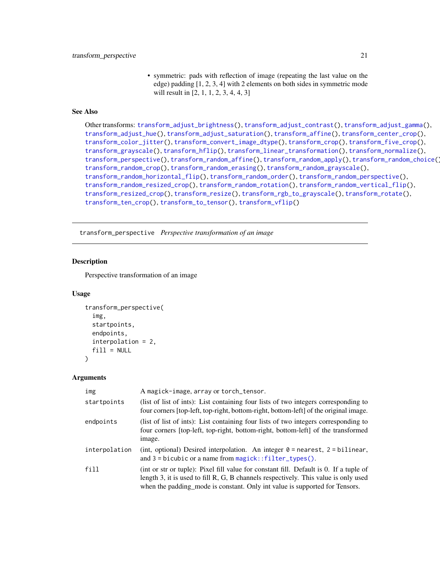• symmetric: pads with reflection of image (repeating the last value on the edge) padding [1, 2, 3, 4] with 2 elements on both sides in symmetric mode will result in [2, 1, 1, 2, 3, 4, 4, 3]

## <span id="page-20-0"></span>See Also

```
Other transforms: transform_adjust_brightness(), transform_adjust_contrast(), transform_adjust_gamma(),
transform_adjust_hue(), transform_adjust_saturation(), transform_affine(), transform_center_crop(),
transform_color_jitter(), transform_convert_image_dtype(), transform_crop(), transform_five_crop(),
transform_grayscale(), transform_hflip(), transform_linear_transformation(), transform_normalize(),
transform_perspective(), transform_random_affine(), transform_random_apply(), transform_random_choice(),
transform_random_crop(), transform_random_erasing(), transform_random_grayscale(),
transform_random_horizontal_flip(), transform_random_order(), transform_random_perspective(),
transform_random_resized_crop(), transform_random_rotation(), transform_random_vertical_flip(),
transform_resized_crop(), transform_resize(), transform_rgb_to_grayscale(), transform_rotate(),
transform_ten_crop(), transform_to_tensor(), transform_vflip()
```
<span id="page-20-1"></span>transform\_perspective *Perspective transformation of an image*

## **Description**

Perspective transformation of an image

#### Usage

```
transform_perspective(
  img,
  startpoints,
  endpoints,
  interpolation = 2,
  fill = NULL\lambda
```

| img           | A magick-image, array or torch_tensor.                                                                                                                                                                                                                       |
|---------------|--------------------------------------------------------------------------------------------------------------------------------------------------------------------------------------------------------------------------------------------------------------|
| startpoints   | (list of list of ints): List containing four lists of two integers corresponding to<br>four corners [top-left, top-right, bottom-right, bottom-left] of the original image.                                                                                  |
| endpoints     | (list of list of ints): List containing four lists of two integers corresponding to<br>four corners [top-left, top-right, bottom-right, bottom-left] of the transformed<br>image.                                                                            |
| interpolation | (int, optional) Desired interpolation. An integer $0 =$ nearest, $2 =$ bilinear,<br>and $3 = bicubic$ or a name from magick::filter_types().                                                                                                                 |
| fill          | (int or str or tuple): Pixel fill value for constant fill. Default is 0. If a tuple of<br>length 3, it is used to fill R, G, B channels respectively. This value is only used<br>when the padding_mode is constant. Only int value is supported for Tensors. |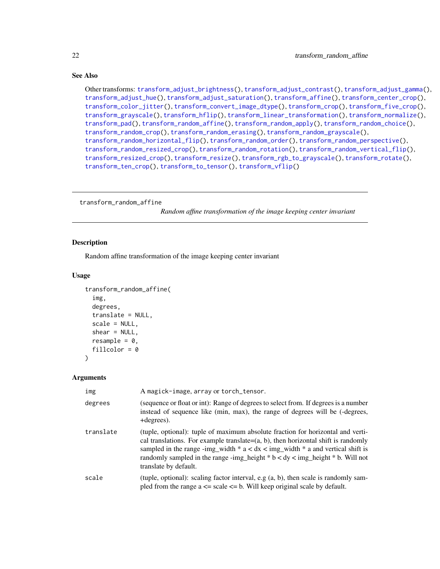Other transforms: [transform\\_adjust\\_brightness\(](#page-7-1)), [transform\\_adjust\\_contrast\(](#page-8-1)), [transform\\_adjust\\_gamma\(](#page-8-2)), [transform\\_adjust\\_hue\(](#page-9-1)), [transform\\_adjust\\_saturation\(](#page-10-1)), [transform\\_affine\(](#page-11-1)), [transform\\_center\\_crop\(](#page-12-1)), [transform\\_color\\_jitter\(](#page-13-1)), [transform\\_convert\\_image\\_dtype\(](#page-14-1)), [transform\\_crop\(](#page-14-2)), [transform\\_five\\_crop\(](#page-15-1)), [transform\\_grayscale\(](#page-16-1)), [transform\\_hflip\(](#page-17-1)), [transform\\_linear\\_transformation\(](#page-17-2)), [transform\\_normalize\(](#page-18-1)), [transform\\_pad\(](#page-19-1)), [transform\\_random\\_affine\(](#page-21-1)), [transform\\_random\\_apply\(](#page-22-1)), [transform\\_random\\_choice\(](#page-23-1)), [transform\\_random\\_crop\(](#page-24-1)), [transform\\_random\\_erasing\(](#page-25-1)), [transform\\_random\\_grayscale\(](#page-26-1)), [transform\\_random\\_horizontal\\_flip\(](#page-27-1)), [transform\\_random\\_order\(](#page-27-2)), [transform\\_random\\_perspective\(](#page-28-1)), [transform\\_random\\_resized\\_crop\(](#page-29-1)), [transform\\_random\\_rotation\(](#page-30-1)), [transform\\_random\\_vertical\\_flip\(](#page-31-1)), [transform\\_resized\\_crop\(](#page-33-1)), [transform\\_resize\(](#page-32-1)), [transform\\_rgb\\_to\\_grayscale\(](#page-34-1)), [transform\\_rotate\(](#page-34-2)), [transform\\_ten\\_crop\(](#page-35-1)), [transform\\_to\\_tensor\(](#page-36-1)), [transform\\_vflip\(](#page-37-1))

<span id="page-21-1"></span>transform\_random\_affine

*Random affine transformation of the image keeping center invariant*

#### **Description**

Random affine transformation of the image keeping center invariant

#### Usage

```
transform_random_affine(
  img,
  degrees,
  translate = NULL,
  scale = NULL,
  shear = NULL,resample = 0,
  fillcolor = 0)
```

| img       | A magick-image, array or torch_tensor.                                                                                                                                                                                                                                                                                                                                       |
|-----------|------------------------------------------------------------------------------------------------------------------------------------------------------------------------------------------------------------------------------------------------------------------------------------------------------------------------------------------------------------------------------|
| degrees   | (sequence or float or int): Range of degrees to select from. If degrees is a number<br>instead of sequence like (min, max), the range of degrees will be (-degrees,<br>+degrees).                                                                                                                                                                                            |
| translate | (tuple, optional): tuple of maximum absolute fraction for horizontal and verti-<br>cal translations. For example translate= $(a, b)$ , then horizontal shift is randomly<br>sampled in the range -img_width $* a < dx <$ img_width $* a$ and vertical shift is<br>randomly sampled in the range -img_height $*$ b < dy < img_height $*$ b. Will not<br>translate by default. |
| scale     | (tuple, optional): scaling factor interval, e.g $(a, b)$ , then scale is randomly sam-<br>pled from the range $a \leq$ scale $\leq$ b. Will keep original scale by default.                                                                                                                                                                                                  |

<span id="page-21-0"></span>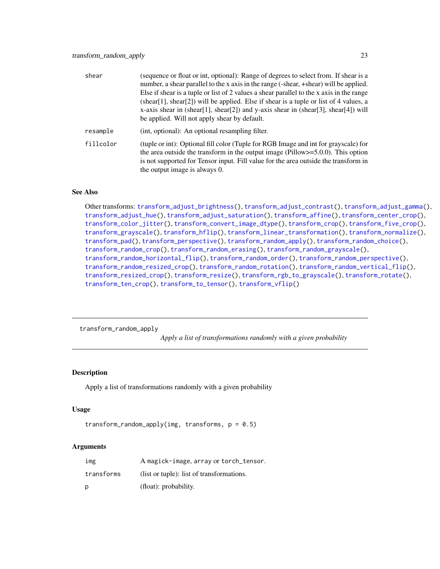<span id="page-22-0"></span>

| shear     | (sequence or float or int, optional): Range of degrees to select from. If shear is a<br>number, a shear parallel to the x axis in the range (-shear, +shear) will be applied.<br>Else if shear is a tuple or list of 2 values a shear parallel to the x axis in the range<br>(shear[1], shear[2]) will be applied. Else if shear is a tuple or list of 4 values, a<br>x-axis shear in (shear[1], shear[2]) and y-axis shear in (shear[3], shear[4]) will<br>be applied. Will not apply shear by default. |
|-----------|----------------------------------------------------------------------------------------------------------------------------------------------------------------------------------------------------------------------------------------------------------------------------------------------------------------------------------------------------------------------------------------------------------------------------------------------------------------------------------------------------------|
| resample  | (int, optional): An optional resampling filter.                                                                                                                                                                                                                                                                                                                                                                                                                                                          |
| fillcolor | (tuple or int): Optional fill color (Tuple for RGB Image and int for grayscale) for<br>the area outside the transform in the output image ( $Pillow \ge 5.0.0$ ). This option<br>is not supported for Tensor input. Fill value for the area outside the transform in<br>the output image is always 0.                                                                                                                                                                                                    |

Other transforms: [transform\\_adjust\\_brightness\(](#page-7-1)), [transform\\_adjust\\_contrast\(](#page-8-1)), [transform\\_adjust\\_gamma\(](#page-8-2)), [transform\\_adjust\\_hue\(](#page-9-1)), [transform\\_adjust\\_saturation\(](#page-10-1)), [transform\\_affine\(](#page-11-1)), [transform\\_center\\_crop\(](#page-12-1)), [transform\\_color\\_jitter\(](#page-13-1)), [transform\\_convert\\_image\\_dtype\(](#page-14-1)), [transform\\_crop\(](#page-14-2)), [transform\\_five\\_crop\(](#page-15-1)), [transform\\_grayscale\(](#page-16-1)), [transform\\_hflip\(](#page-17-1)), [transform\\_linear\\_transformation\(](#page-17-2)), [transform\\_normalize\(](#page-18-1)), [transform\\_pad\(](#page-19-1)), [transform\\_perspective\(](#page-20-1)), [transform\\_random\\_apply\(](#page-22-1)), [transform\\_random\\_choice\(](#page-23-1)), [transform\\_random\\_crop\(](#page-24-1)), [transform\\_random\\_erasing\(](#page-25-1)), [transform\\_random\\_grayscale\(](#page-26-1)), [transform\\_random\\_horizontal\\_flip\(](#page-27-1)), [transform\\_random\\_order\(](#page-27-2)), [transform\\_random\\_perspective\(](#page-28-1)), [transform\\_random\\_resized\\_crop\(](#page-29-1)), [transform\\_random\\_rotation\(](#page-30-1)), [transform\\_random\\_vertical\\_flip\(](#page-31-1)), [transform\\_resized\\_crop\(](#page-33-1)), [transform\\_resize\(](#page-32-1)), [transform\\_rgb\\_to\\_grayscale\(](#page-34-1)), [transform\\_rotate\(](#page-34-2)), [transform\\_ten\\_crop\(](#page-35-1)), [transform\\_to\\_tensor\(](#page-36-1)), [transform\\_vflip\(](#page-37-1))

<span id="page-22-1"></span>transform\_random\_apply

*Apply a list of transformations randomly with a given probability*

#### Description

Apply a list of transformations randomly with a given probability

#### Usage

```
transform_random_apply(img, transforms, p = 0.5)
```

| img        | A magick-image, array or torch_tensor.    |
|------------|-------------------------------------------|
| transforms | (list or tuple): list of transformations. |
| p          | (float): probability.                     |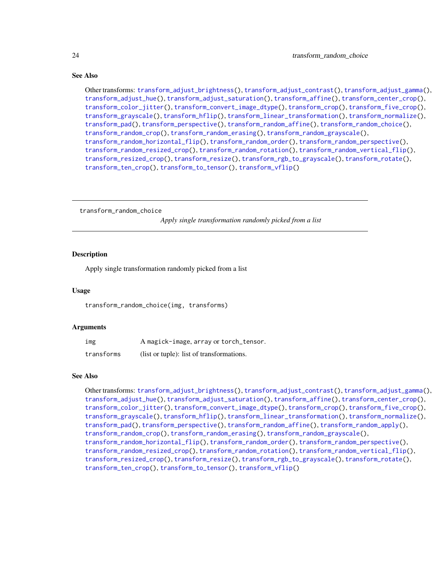Other transforms: [transform\\_adjust\\_brightness\(](#page-7-1)), [transform\\_adjust\\_contrast\(](#page-8-1)), [transform\\_adjust\\_gamma\(](#page-8-2)), [transform\\_adjust\\_hue\(](#page-9-1)), [transform\\_adjust\\_saturation\(](#page-10-1)), [transform\\_affine\(](#page-11-1)), [transform\\_center\\_crop\(](#page-12-1)), [transform\\_color\\_jitter\(](#page-13-1)), [transform\\_convert\\_image\\_dtype\(](#page-14-1)), [transform\\_crop\(](#page-14-2)), [transform\\_five\\_crop\(](#page-15-1)), [transform\\_grayscale\(](#page-16-1)), [transform\\_hflip\(](#page-17-1)), [transform\\_linear\\_transformation\(](#page-17-2)), [transform\\_normalize\(](#page-18-1)), [transform\\_pad\(](#page-19-1)), [transform\\_perspective\(](#page-20-1)), [transform\\_random\\_affine\(](#page-21-1)), [transform\\_random\\_choice\(](#page-23-1)), [transform\\_random\\_crop\(](#page-24-1)), [transform\\_random\\_erasing\(](#page-25-1)), [transform\\_random\\_grayscale\(](#page-26-1)), [transform\\_random\\_horizontal\\_flip\(](#page-27-1)), [transform\\_random\\_order\(](#page-27-2)), [transform\\_random\\_perspective\(](#page-28-1)), [transform\\_random\\_resized\\_crop\(](#page-29-1)), [transform\\_random\\_rotation\(](#page-30-1)), [transform\\_random\\_vertical\\_flip\(](#page-31-1)), [transform\\_resized\\_crop\(](#page-33-1)), [transform\\_resize\(](#page-32-1)), [transform\\_rgb\\_to\\_grayscale\(](#page-34-1)), [transform\\_rotate\(](#page-34-2)), [transform\\_ten\\_crop\(](#page-35-1)), [transform\\_to\\_tensor\(](#page-36-1)), [transform\\_vflip\(](#page-37-1))

<span id="page-23-1"></span>transform\_random\_choice

*Apply single transformation randomly picked from a list*

## **Description**

Apply single transformation randomly picked from a list

#### Usage

transform\_random\_choice(img, transforms)

#### Arguments

| img        | A magick-image, array or torch_tensor.    |
|------------|-------------------------------------------|
| transforms | (list or tuple): list of transformations. |

## See Also

Other transforms: [transform\\_adjust\\_brightness\(](#page-7-1)), [transform\\_adjust\\_contrast\(](#page-8-1)), [transform\\_adjust\\_gamma\(](#page-8-2)), [transform\\_adjust\\_hue\(](#page-9-1)), [transform\\_adjust\\_saturation\(](#page-10-1)), [transform\\_affine\(](#page-11-1)), [transform\\_center\\_crop\(](#page-12-1)), [transform\\_color\\_jitter\(](#page-13-1)), [transform\\_convert\\_image\\_dtype\(](#page-14-1)), [transform\\_crop\(](#page-14-2)), [transform\\_five\\_crop\(](#page-15-1)), [transform\\_grayscale\(](#page-16-1)), [transform\\_hflip\(](#page-17-1)), [transform\\_linear\\_transformation\(](#page-17-2)), [transform\\_normalize\(](#page-18-1)), [transform\\_pad\(](#page-19-1)), [transform\\_perspective\(](#page-20-1)), [transform\\_random\\_affine\(](#page-21-1)), [transform\\_random\\_apply\(](#page-22-1)), [transform\\_random\\_crop\(](#page-24-1)), [transform\\_random\\_erasing\(](#page-25-1)), [transform\\_random\\_grayscale\(](#page-26-1)), [transform\\_random\\_horizontal\\_flip\(](#page-27-1)), [transform\\_random\\_order\(](#page-27-2)), [transform\\_random\\_perspective\(](#page-28-1)), [transform\\_random\\_resized\\_crop\(](#page-29-1)), [transform\\_random\\_rotation\(](#page-30-1)), [transform\\_random\\_vertical\\_flip\(](#page-31-1)), [transform\\_resized\\_crop\(](#page-33-1)), [transform\\_resize\(](#page-32-1)), [transform\\_rgb\\_to\\_grayscale\(](#page-34-1)), [transform\\_rotate\(](#page-34-2)), [transform\\_ten\\_crop\(](#page-35-1)), [transform\\_to\\_tensor\(](#page-36-1)), [transform\\_vflip\(](#page-37-1))

<span id="page-23-0"></span>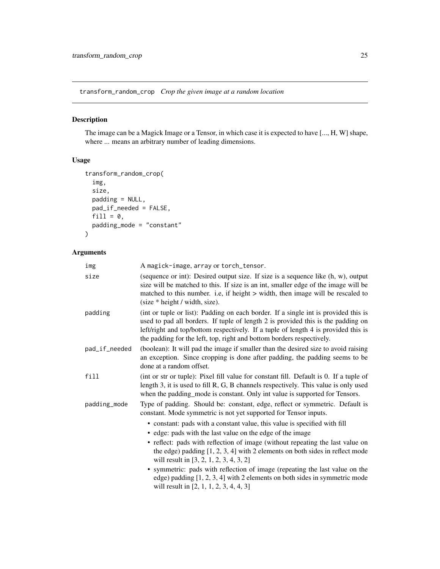<span id="page-24-1"></span><span id="page-24-0"></span>transform\_random\_crop *Crop the given image at a random location*

## Description

The image can be a Magick Image or a Tensor, in which case it is expected to have [..., H, W] shape, where ... means an arbitrary number of leading dimensions.

## Usage

```
transform_random_crop(
  img,
  size,
  padding = NULL,
  pad_if_needed = FALSE,
  fill = 0,padding_mode = "constant"
\mathcal{E}
```

| img           | A magick-image, array or torch_tensor.                                                                                                                                                                                                                                                                                                 |
|---------------|----------------------------------------------------------------------------------------------------------------------------------------------------------------------------------------------------------------------------------------------------------------------------------------------------------------------------------------|
| size          | (sequence or int): Desired output size. If size is a sequence like (h, w), output<br>size will be matched to this. If size is an int, smaller edge of the image will be<br>matched to this number. i.e, if height > width, then image will be rescaled to<br>$(size * height / width, size).$                                          |
| padding       | (int or tuple or list): Padding on each border. If a single int is provided this is<br>used to pad all borders. If tuple of length 2 is provided this is the padding on<br>left/right and top/bottom respectively. If a tuple of length 4 is provided this is<br>the padding for the left, top, right and bottom borders respectively. |
| pad_if_needed | (boolean): It will pad the image if smaller than the desired size to avoid raising<br>an exception. Since cropping is done after padding, the padding seems to be<br>done at a random offset.                                                                                                                                          |
| fill          | (int or str or tuple): Pixel fill value for constant fill. Default is 0. If a tuple of<br>length 3, it is used to fill R, G, B channels respectively. This value is only used<br>when the padding_mode is constant. Only int value is supported for Tensors.                                                                           |
| padding_mode  | Type of padding. Should be: constant, edge, reflect or symmetric. Default is<br>constant. Mode symmetric is not yet supported for Tensor inputs.                                                                                                                                                                                       |
|               | • constant: pads with a constant value, this value is specified with fill                                                                                                                                                                                                                                                              |
|               | • edge: pads with the last value on the edge of the image                                                                                                                                                                                                                                                                              |
|               | • reflect: pads with reflection of image (without repeating the last value on<br>the edge) padding $[1, 2, 3, 4]$ with 2 elements on both sides in reflect mode<br>will result in [3, 2, 1, 2, 3, 4, 3, 2]                                                                                                                             |
|               | • symmetric: pads with reflection of image (repeating the last value on the<br>edge) padding $[1, 2, 3, 4]$ with 2 elements on both sides in symmetric mode<br>will result in $[2, 1, 1, 2, 3, 4, 4, 3]$                                                                                                                               |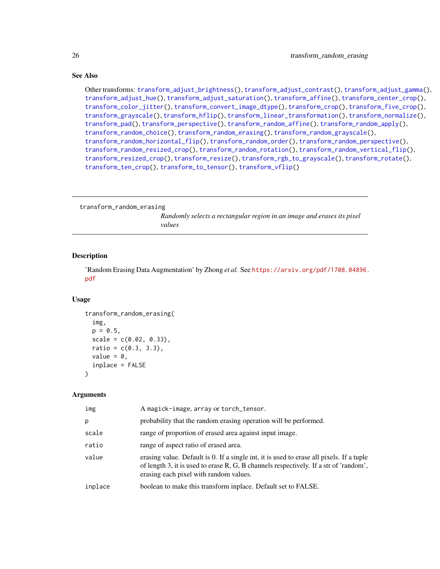Other transforms: [transform\\_adjust\\_brightness\(](#page-7-1)), [transform\\_adjust\\_contrast\(](#page-8-1)), [transform\\_adjust\\_gamma\(](#page-8-2)), [transform\\_adjust\\_hue\(](#page-9-1)), [transform\\_adjust\\_saturation\(](#page-10-1)), [transform\\_affine\(](#page-11-1)), [transform\\_center\\_crop\(](#page-12-1)), [transform\\_color\\_jitter\(](#page-13-1)), [transform\\_convert\\_image\\_dtype\(](#page-14-1)), [transform\\_crop\(](#page-14-2)), [transform\\_five\\_crop\(](#page-15-1)), [transform\\_grayscale\(](#page-16-1)), [transform\\_hflip\(](#page-17-1)), [transform\\_linear\\_transformation\(](#page-17-2)), [transform\\_normalize\(](#page-18-1)), [transform\\_pad\(](#page-19-1)), [transform\\_perspective\(](#page-20-1)), [transform\\_random\\_affine\(](#page-21-1)), [transform\\_random\\_apply\(](#page-22-1)), [transform\\_random\\_choice\(](#page-23-1)), [transform\\_random\\_erasing\(](#page-25-1)), [transform\\_random\\_grayscale\(](#page-26-1)), [transform\\_random\\_horizontal\\_flip\(](#page-27-1)), [transform\\_random\\_order\(](#page-27-2)), [transform\\_random\\_perspective\(](#page-28-1)), [transform\\_random\\_resized\\_crop\(](#page-29-1)), [transform\\_random\\_rotation\(](#page-30-1)), [transform\\_random\\_vertical\\_flip\(](#page-31-1)), [transform\\_resized\\_crop\(](#page-33-1)), [transform\\_resize\(](#page-32-1)), [transform\\_rgb\\_to\\_grayscale\(](#page-34-1)), [transform\\_rotate\(](#page-34-2)), [transform\\_ten\\_crop\(](#page-35-1)), [transform\\_to\\_tensor\(](#page-36-1)), [transform\\_vflip\(](#page-37-1))

<span id="page-25-1"></span>transform\_random\_erasing

*Randomly selects a rectangular region in an image and erases its pixel values*

#### Description

'Random Erasing Data Augmentation' by Zhong *et al.* See [https://arxiv.org/pdf/1708.04896.](https://arxiv.org/pdf/1708.04896.pdf) [pdf](https://arxiv.org/pdf/1708.04896.pdf)

#### Usage

```
transform_random_erasing(
  img,
  p = 0.5,
  scale = c(0.02, 0.33),
  ratio = c(0.3, 3.3),value = 0,
  inplace = FALSE
)
```

| img     | A magick-image, array or torch_tensor.                                                                                                                                                                                      |
|---------|-----------------------------------------------------------------------------------------------------------------------------------------------------------------------------------------------------------------------------|
| р       | probability that the random erasing operation will be performed.                                                                                                                                                            |
| scale   | range of proportion of erased area against input image.                                                                                                                                                                     |
| ratio   | range of aspect ratio of erased area.                                                                                                                                                                                       |
| value   | erasing value. Default is 0. If a single int, it is used to erase all pixels. If a tuple<br>of length 3, it is used to erase R, G, B channels respectively. If a str of 'random',<br>erasing each pixel with random values. |
| inplace | boolean to make this transform inplace. Default set to FALSE.                                                                                                                                                               |

<span id="page-25-0"></span>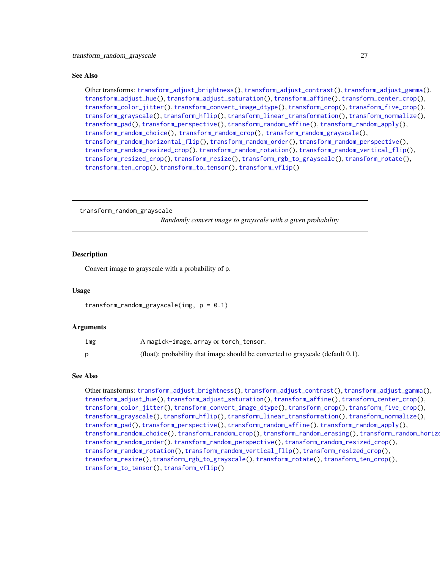<span id="page-26-0"></span>Other transforms: [transform\\_adjust\\_brightness\(](#page-7-1)), [transform\\_adjust\\_contrast\(](#page-8-1)), [transform\\_adjust\\_gamma\(](#page-8-2)), [transform\\_adjust\\_hue\(](#page-9-1)), [transform\\_adjust\\_saturation\(](#page-10-1)), [transform\\_affine\(](#page-11-1)), [transform\\_center\\_crop\(](#page-12-1)), [transform\\_color\\_jitter\(](#page-13-1)), [transform\\_convert\\_image\\_dtype\(](#page-14-1)), [transform\\_crop\(](#page-14-2)), [transform\\_five\\_crop\(](#page-15-1)), [transform\\_grayscale\(](#page-16-1)), [transform\\_hflip\(](#page-17-1)), [transform\\_linear\\_transformation\(](#page-17-2)), [transform\\_normalize\(](#page-18-1)), [transform\\_pad\(](#page-19-1)), [transform\\_perspective\(](#page-20-1)), [transform\\_random\\_affine\(](#page-21-1)), [transform\\_random\\_apply\(](#page-22-1)), [transform\\_random\\_choice\(](#page-23-1)), [transform\\_random\\_crop\(](#page-24-1)), [transform\\_random\\_grayscale\(](#page-26-1)), [transform\\_random\\_horizontal\\_flip\(](#page-27-1)), [transform\\_random\\_order\(](#page-27-2)), [transform\\_random\\_perspective\(](#page-28-1)), [transform\\_random\\_resized\\_crop\(](#page-29-1)), [transform\\_random\\_rotation\(](#page-30-1)), [transform\\_random\\_vertical\\_flip\(](#page-31-1)), [transform\\_resized\\_crop\(](#page-33-1)), [transform\\_resize\(](#page-32-1)), [transform\\_rgb\\_to\\_grayscale\(](#page-34-1)), [transform\\_rotate\(](#page-34-2)), [transform\\_ten\\_crop\(](#page-35-1)), [transform\\_to\\_tensor\(](#page-36-1)), [transform\\_vflip\(](#page-37-1))

<span id="page-26-1"></span>transform\_random\_grayscale

*Randomly convert image to grayscale with a given probability*

#### **Description**

Convert image to grayscale with a probability of p.

#### Usage

```
transform_random_grayscale(img, p = 0.1)
```
#### Arguments

| img | A magick-image, array or torch_tensor.                                             |
|-----|------------------------------------------------------------------------------------|
|     | (float): probability that image should be converted to grayscale (default $0.1$ ). |

## See Also

Other transforms: [transform\\_adjust\\_brightness\(](#page-7-1)), [transform\\_adjust\\_contrast\(](#page-8-1)), [transform\\_adjust\\_gamma\(](#page-8-2)), [transform\\_adjust\\_hue\(](#page-9-1)), [transform\\_adjust\\_saturation\(](#page-10-1)), [transform\\_affine\(](#page-11-1)), [transform\\_center\\_crop\(](#page-12-1)), [transform\\_color\\_jitter\(](#page-13-1)), [transform\\_convert\\_image\\_dtype\(](#page-14-1)), [transform\\_crop\(](#page-14-2)), [transform\\_five\\_crop\(](#page-15-1)), [transform\\_grayscale\(](#page-16-1)), [transform\\_hflip\(](#page-17-1)), [transform\\_linear\\_transformation\(](#page-17-2)), [transform\\_normalize\(](#page-18-1)), [transform\\_pad\(](#page-19-1)), [transform\\_perspective\(](#page-20-1)), [transform\\_random\\_affine\(](#page-21-1)), [transform\\_random\\_apply\(](#page-22-1)), [transform\\_random\\_choice\(](#page-23-1)), [transform\\_random\\_crop\(](#page-24-1)), [transform\\_random\\_erasing\(](#page-25-1)), transform\_random\_horizontal [transform\\_random\\_order\(](#page-27-2)), [transform\\_random\\_perspective\(](#page-28-1)), [transform\\_random\\_resized\\_crop\(](#page-29-1)), [transform\\_random\\_rotation\(](#page-30-1)), [transform\\_random\\_vertical\\_flip\(](#page-31-1)), [transform\\_resized\\_crop\(](#page-33-1)), [transform\\_resize\(](#page-32-1)), [transform\\_rgb\\_to\\_grayscale\(](#page-34-1)), [transform\\_rotate\(](#page-34-2)), [transform\\_ten\\_crop\(](#page-35-1)), [transform\\_to\\_tensor\(](#page-36-1)), [transform\\_vflip\(](#page-37-1))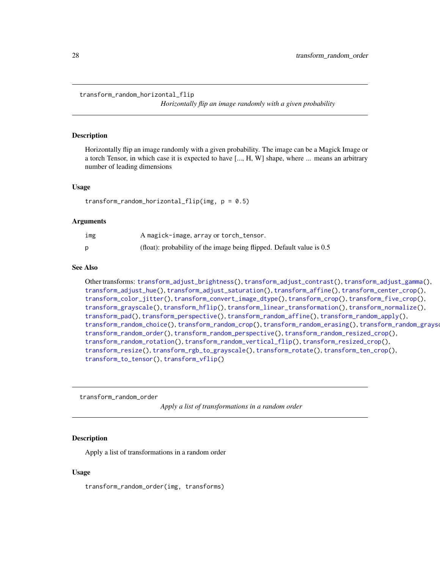<span id="page-27-1"></span><span id="page-27-0"></span>transform\_random\_horizontal\_flip

*Horizontally flip an image randomly with a given probability*

#### Description

Horizontally flip an image randomly with a given probability. The image can be a Magick Image or a torch Tensor, in which case it is expected to have [..., H, W] shape, where ... means an arbitrary number of leading dimensions

#### Usage

transform\_random\_horizontal\_flip(img,  $p = 0.5$ )

#### Arguments

| ımg | A magick-image, array or torch_tensor.                                |
|-----|-----------------------------------------------------------------------|
|     | (float): probability of the image being flipped. Default value is 0.5 |

#### See Also

Other transforms: [transform\\_adjust\\_brightness\(](#page-7-1)), [transform\\_adjust\\_contrast\(](#page-8-1)), [transform\\_adjust\\_gamma\(](#page-8-2)), [transform\\_adjust\\_hue\(](#page-9-1)), [transform\\_adjust\\_saturation\(](#page-10-1)), [transform\\_affine\(](#page-11-1)), [transform\\_center\\_crop\(](#page-12-1)), [transform\\_color\\_jitter\(](#page-13-1)), [transform\\_convert\\_image\\_dtype\(](#page-14-1)), [transform\\_crop\(](#page-14-2)), [transform\\_five\\_crop\(](#page-15-1)), [transform\\_grayscale\(](#page-16-1)), [transform\\_hflip\(](#page-17-1)), [transform\\_linear\\_transformation\(](#page-17-2)), [transform\\_normalize\(](#page-18-1)), [transform\\_pad\(](#page-19-1)), [transform\\_perspective\(](#page-20-1)), [transform\\_random\\_affine\(](#page-21-1)), [transform\\_random\\_apply\(](#page-22-1)), [transform\\_random\\_choice\(](#page-23-1)), [transform\\_random\\_crop\(](#page-24-1)), [transform\\_random\\_erasing\(](#page-25-1)), [transform\\_random\\_grayscale\(](#page-26-1)), [transform\\_random\\_order\(](#page-27-2)), [transform\\_random\\_perspective\(](#page-28-1)), [transform\\_random\\_resized\\_crop\(](#page-29-1)), [transform\\_random\\_rotation\(](#page-30-1)), [transform\\_random\\_vertical\\_flip\(](#page-31-1)), [transform\\_resized\\_crop\(](#page-33-1)), [transform\\_resize\(](#page-32-1)), [transform\\_rgb\\_to\\_grayscale\(](#page-34-1)), [transform\\_rotate\(](#page-34-2)), [transform\\_ten\\_crop\(](#page-35-1)), [transform\\_to\\_tensor\(](#page-36-1)), [transform\\_vflip\(](#page-37-1))

<span id="page-27-2"></span>transform\_random\_order

*Apply a list of transformations in a random order*

## Description

Apply a list of transformations in a random order

#### Usage

transform\_random\_order(img, transforms)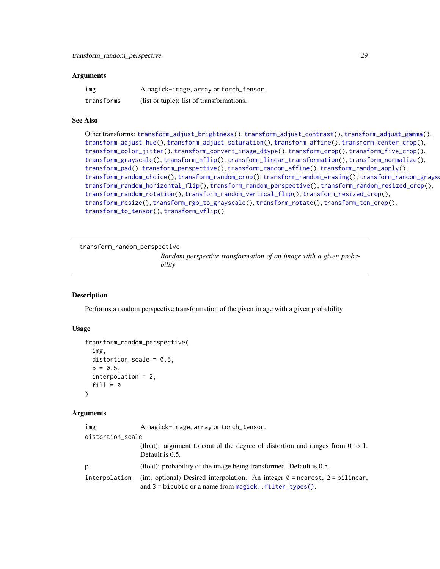#### <span id="page-28-0"></span>Arguments

| img        | A magick-image, array or torch_tensor.    |
|------------|-------------------------------------------|
| transforms | (list or tuple): list of transformations. |

#### See Also

```
Other transforms: transform_adjust_brightness(), transform_adjust_contrast(), transform_adjust_gamma(),
transform_adjust_hue(), transform_adjust_saturation(), transform_affine(), transform_center_crop(),
transform_color_jitter(), transform_convert_image_dtype(), transform_crop(), transform_five_crop(),
transform_grayscale(), transform_hflip(), transform_linear_transformation(), transform_normalize(),
transform_pad(), transform_perspective(), transform_random_affine(), transform_random_apply(),
transform_random_choice(), transform_random_crop(), transform_random_erasing(), transform_random_grayscale(),
transform_random_horizontal_flip(), transform_random_perspective(), transform_random_resized_crop(),
transform_random_rotation(), transform_random_vertical_flip(), transform_resized_crop(),
transform_resize(), transform_rgb_to_grayscale(), transform_rotate(), transform_ten_crop(),
transform_to_tensor(), transform_vflip()
```

```
transform_random_perspective
```
*Random perspective transformation of an image with a given probability*

## Description

Performs a random perspective transformation of the given image with a given probability

## Usage

```
transform_random_perspective(
  img,
  distortion_scale = 0.5,
  p = 0.5,
  interpolation = 2,
  fill = 0)
```

| img              | A magick-image, array or torch_tensor.                                                                                                           |
|------------------|--------------------------------------------------------------------------------------------------------------------------------------------------|
| distortion_scale |                                                                                                                                                  |
|                  | (float): argument to control the degree of distortion and ranges from 0 to 1.<br>Default is 0.5.                                                 |
| D                | (float): probability of the image being transformed. Default is $0.5$ .                                                                          |
| interpolation    | (int, optional) Desired interpolation. An integer $\theta$ = nearest, 2 = bilinear,<br>and $3 =$ bicubic or a name from magick:: filter_types(). |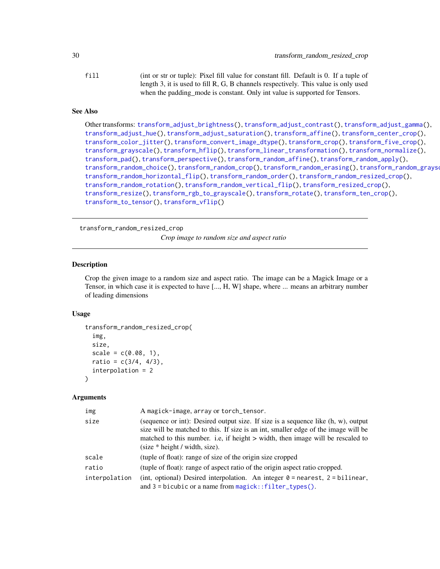<span id="page-29-0"></span>fill (int or str or tuple): Pixel fill value for constant fill. Default is 0. If a tuple of length 3, it is used to fill R, G, B channels respectively. This value is only used when the padding mode is constant. Only int value is supported for Tensors.

## See Also

```
Other transforms: transform_adjust_brightness(), transform_adjust_contrast(), transform_adjust_gamma(),
transform_adjust_hue(), transform_adjust_saturation(), transform_affine(), transform_center_crop(),
transform_color_jitter(), transform_convert_image_dtype(), transform_crop(), transform_five_crop(),
transform_grayscale(), transform_hflip(), transform_linear_transformation(), transform_normalize(),
transform_pad(), transform_perspective(), transform_random_affine(), transform_random_apply(),
transform_random_choice(), transform_random_crop(), transform_random_erasing(), transform_random_grayscale(),
transform_random_horizontal_flip(), transform_random_order(), transform_random_resized_crop(),
transform_random_rotation(), transform_random_vertical_flip(), transform_resized_crop(),
transform_resize(), transform_rgb_to_grayscale(), transform_rotate(), transform_ten_crop(),
transform_to_tensor(), transform_vflip()
```
<span id="page-29-1"></span>transform\_random\_resized\_crop

*Crop image to random size and aspect ratio*

## Description

Crop the given image to a random size and aspect ratio. The image can be a Magick Image or a Tensor, in which case it is expected to have [..., H, W] shape, where ... means an arbitrary number of leading dimensions

#### Usage

```
transform_random_resized_crop(
  img,
  size,
  scale = c(0.08, 1),ratio = c(3/4, 4/3),
  interpolation = 2
)
```

| img           | A magick-image, array or torch_tensor.                                                                                                                                                                                                                                                                                     |
|---------------|----------------------------------------------------------------------------------------------------------------------------------------------------------------------------------------------------------------------------------------------------------------------------------------------------------------------------|
| size          | (sequence or int): Desired output size. If size is a sequence like (h, w), output<br>size will be matched to this. If size is an int, smaller edge of the image will be<br>matched to this number. i.e, if height > width, then image will be rescaled to<br>$\text{(size} * \text{height} / \text{width}, \text{size})$ . |
| scale         | (tuple of float): range of size of the origin size cropped                                                                                                                                                                                                                                                                 |
| ratio         | (tuple of float): range of aspect ratio of the origin aspect ratio cropped.                                                                                                                                                                                                                                                |
| interpolation | (int, optional) Desired interpolation. An integer $0 =$ nearest, $2 =$ bilinear,<br>and $3 =$ bicubic or a name from $magic$ : $filter_types()$ .                                                                                                                                                                          |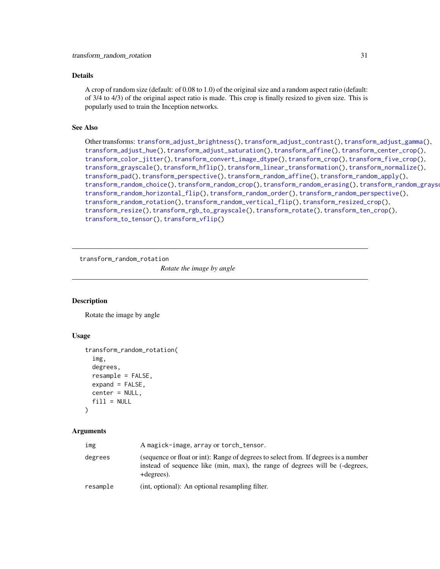## <span id="page-30-0"></span>Details

A crop of random size (default: of 0.08 to 1.0) of the original size and a random aspect ratio (default: of 3/4 to 4/3) of the original aspect ratio is made. This crop is finally resized to given size. This is popularly used to train the Inception networks.

## See Also

Other transforms: [transform\\_adjust\\_brightness\(](#page-7-1)), [transform\\_adjust\\_contrast\(](#page-8-1)), [transform\\_adjust\\_gamma\(](#page-8-2)), [transform\\_adjust\\_hue\(](#page-9-1)), [transform\\_adjust\\_saturation\(](#page-10-1)), [transform\\_affine\(](#page-11-1)), [transform\\_center\\_crop\(](#page-12-1)), [transform\\_color\\_jitter\(](#page-13-1)), [transform\\_convert\\_image\\_dtype\(](#page-14-1)), [transform\\_crop\(](#page-14-2)), [transform\\_five\\_crop\(](#page-15-1)), [transform\\_grayscale\(](#page-16-1)), [transform\\_hflip\(](#page-17-1)), [transform\\_linear\\_transformation\(](#page-17-2)), [transform\\_normalize\(](#page-18-1)), [transform\\_pad\(](#page-19-1)), [transform\\_perspective\(](#page-20-1)), [transform\\_random\\_affine\(](#page-21-1)), [transform\\_random\\_apply\(](#page-22-1)), [transform\\_random\\_choice\(](#page-23-1)), [transform\\_random\\_crop\(](#page-24-1)), [transform\\_random\\_erasing\(](#page-25-1)), [transform\\_random\\_grayscale\(](#page-26-1)), [transform\\_random\\_horizontal\\_flip\(](#page-27-1)), [transform\\_random\\_order\(](#page-27-2)), [transform\\_random\\_perspective\(](#page-28-1)), [transform\\_random\\_rotation\(](#page-30-1)), [transform\\_random\\_vertical\\_flip\(](#page-31-1)), [transform\\_resized\\_crop\(](#page-33-1)), [transform\\_resize\(](#page-32-1)), [transform\\_rgb\\_to\\_grayscale\(](#page-34-1)), [transform\\_rotate\(](#page-34-2)), [transform\\_ten\\_crop\(](#page-35-1)), [transform\\_to\\_tensor\(](#page-36-1)), [transform\\_vflip\(](#page-37-1))

<span id="page-30-1"></span>transform\_random\_rotation

*Rotate the image by angle*

## Description

Rotate the image by angle

### Usage

```
transform_random_rotation(
  img,
  degrees,
  resample = FALSE,
  expand = FALSE,center = NULL,
  fill = NULL)
```

| img      | A magick-image, array or torch_tensor.                                                                                                                                            |
|----------|-----------------------------------------------------------------------------------------------------------------------------------------------------------------------------------|
| degrees  | (sequence or float or int): Range of degrees to select from. If degrees is a number<br>instead of sequence like (min, max), the range of degrees will be (-degrees,<br>+degrees). |
| resample | (int, optional): An optional resampling filter.                                                                                                                                   |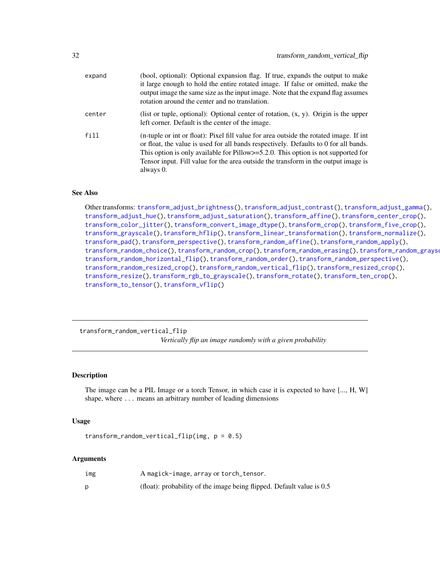<span id="page-31-0"></span>

| expand | (bool, optional): Optional expansion flag. If true, expands the output to make<br>it large enough to hold the entire rotated image. If false or omitted, make the<br>output image the same size as the input image. Note that the expand flag assumes<br>rotation around the center and no translation.                                                                    |
|--------|----------------------------------------------------------------------------------------------------------------------------------------------------------------------------------------------------------------------------------------------------------------------------------------------------------------------------------------------------------------------------|
| center | (list or tuple, optional): Optional center of rotation, $(x, y)$ . Origin is the upper<br>left corner. Default is the center of the image.                                                                                                                                                                                                                                 |
| fill   | (n-tuple or int or float): Pixel fill value for area outside the rotated image. If int<br>or float, the value is used for all bands respectively. Defaults to 0 for all bands.<br>This option is only available for Pillow $>=$ 5.2.0. This option is not supported for<br>Tensor input. Fill value for the area outside the transform in the output image is<br>always 0. |

Other transforms: [transform\\_adjust\\_brightness\(](#page-7-1)), [transform\\_adjust\\_contrast\(](#page-8-1)), [transform\\_adjust\\_gamma\(](#page-8-2)), [transform\\_adjust\\_hue\(](#page-9-1)), [transform\\_adjust\\_saturation\(](#page-10-1)), [transform\\_affine\(](#page-11-1)), [transform\\_center\\_crop\(](#page-12-1)), [transform\\_color\\_jitter\(](#page-13-1)), [transform\\_convert\\_image\\_dtype\(](#page-14-1)), [transform\\_crop\(](#page-14-2)), [transform\\_five\\_crop\(](#page-15-1)), [transform\\_grayscale\(](#page-16-1)), [transform\\_hflip\(](#page-17-1)), [transform\\_linear\\_transformation\(](#page-17-2)), [transform\\_normalize\(](#page-18-1)), [transform\\_pad\(](#page-19-1)), [transform\\_perspective\(](#page-20-1)), [transform\\_random\\_affine\(](#page-21-1)), [transform\\_random\\_apply\(](#page-22-1)), [transform\\_random\\_choice\(](#page-23-1)), [transform\\_random\\_crop\(](#page-24-1)), [transform\\_random\\_erasing\(](#page-25-1)), [transform\\_random\\_grayscale\(](#page-26-1)), [transform\\_random\\_horizontal\\_flip\(](#page-27-1)), [transform\\_random\\_order\(](#page-27-2)), [transform\\_random\\_perspective\(](#page-28-1)), [transform\\_random\\_resized\\_crop\(](#page-29-1)), [transform\\_random\\_vertical\\_flip\(](#page-31-1)), [transform\\_resized\\_crop\(](#page-33-1)), [transform\\_resize\(](#page-32-1)), [transform\\_rgb\\_to\\_grayscale\(](#page-34-1)), [transform\\_rotate\(](#page-34-2)), [transform\\_ten\\_crop\(](#page-35-1)), [transform\\_to\\_tensor\(](#page-36-1)), [transform\\_vflip\(](#page-37-1))

<span id="page-31-1"></span>transform\_random\_vertical\_flip *Vertically flip an image randomly with a given probability*

#### Description

The image can be a PIL Image or a torch Tensor, in which case it is expected to have [..., H, W] shape, where ... means an arbitrary number of leading dimensions

#### Usage

transform\_random\_vertical\_flip(img,  $p = 0.5$ )

| ımg | A magick-image, array or torch_tensor.                                  |
|-----|-------------------------------------------------------------------------|
|     | (float): probability of the image being flipped. Default value is $0.5$ |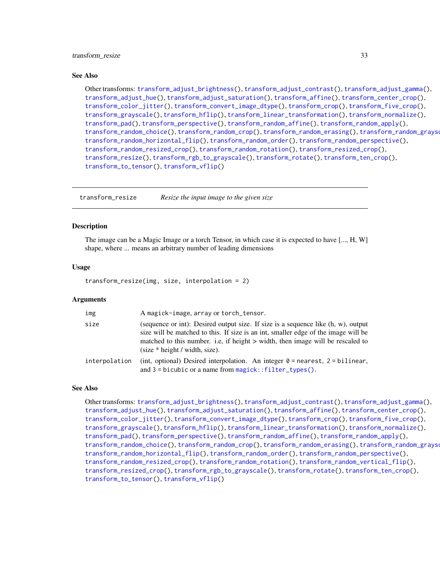<span id="page-32-0"></span>Other transforms: [transform\\_adjust\\_brightness\(](#page-7-1)), [transform\\_adjust\\_contrast\(](#page-8-1)), [transform\\_adjust\\_gamma\(](#page-8-2)), [transform\\_adjust\\_hue\(](#page-9-1)), [transform\\_adjust\\_saturation\(](#page-10-1)), [transform\\_affine\(](#page-11-1)), [transform\\_center\\_crop\(](#page-12-1)), [transform\\_color\\_jitter\(](#page-13-1)), [transform\\_convert\\_image\\_dtype\(](#page-14-1)), [transform\\_crop\(](#page-14-2)), [transform\\_five\\_crop\(](#page-15-1)), [transform\\_grayscale\(](#page-16-1)), [transform\\_hflip\(](#page-17-1)), [transform\\_linear\\_transformation\(](#page-17-2)), [transform\\_normalize\(](#page-18-1)), [transform\\_pad\(](#page-19-1)), [transform\\_perspective\(](#page-20-1)), [transform\\_random\\_affine\(](#page-21-1)), [transform\\_random\\_apply\(](#page-22-1)), [transform\\_random\\_choice\(](#page-23-1)), [transform\\_random\\_crop\(](#page-24-1)), [transform\\_random\\_erasing\(](#page-25-1)), [transform\\_random\\_grayscale\(](#page-26-1)), [transform\\_random\\_horizontal\\_flip\(](#page-27-1)), [transform\\_random\\_order\(](#page-27-2)), [transform\\_random\\_perspective\(](#page-28-1)), [transform\\_random\\_resized\\_crop\(](#page-29-1)), [transform\\_random\\_rotation\(](#page-30-1)), [transform\\_resized\\_crop\(](#page-33-1)), [transform\\_resize\(](#page-32-1)), [transform\\_rgb\\_to\\_grayscale\(](#page-34-1)), [transform\\_rotate\(](#page-34-2)), [transform\\_ten\\_crop\(](#page-35-1)), [transform\\_to\\_tensor\(](#page-36-1)), [transform\\_vflip\(](#page-37-1))

<span id="page-32-1"></span>transform\_resize *Resize the input image to the given size*

#### Description

The image can be a Magic Image or a torch Tensor, in which case it is expected to have [..., H, W] shape, where ... means an arbitrary number of leading dimensions

#### Usage

transform\_resize(img, size, interpolation = 2)

#### **Arguments**

| img           | A magick-image, array or torch_tensor.                                                                                                                                                                                                                                                                                           |
|---------------|----------------------------------------------------------------------------------------------------------------------------------------------------------------------------------------------------------------------------------------------------------------------------------------------------------------------------------|
| size          | (sequence or int): Desired output size. If size is a sequence like $(h, w)$ , output<br>size will be matched to this. If size is an int, smaller edge of the image will be<br>matched to this number. i.e., if height $>$ width, then image will be rescaled to<br>$\text{(size} * \text{height} / \text{width}, \text{size})$ . |
| interpolation | (int, optional) Desired interpolation. An integer $\theta$ = nearest, 2 = bilinear,<br>and $3 = b$ icubic or a name from magick:: filter_types().                                                                                                                                                                                |

#### See Also

Other transforms: [transform\\_adjust\\_brightness\(](#page-7-1)), [transform\\_adjust\\_contrast\(](#page-8-1)), [transform\\_adjust\\_gamma\(](#page-8-2)), [transform\\_adjust\\_hue\(](#page-9-1)), [transform\\_adjust\\_saturation\(](#page-10-1)), [transform\\_affine\(](#page-11-1)), [transform\\_center\\_crop\(](#page-12-1)), [transform\\_color\\_jitter\(](#page-13-1)), [transform\\_convert\\_image\\_dtype\(](#page-14-1)), [transform\\_crop\(](#page-14-2)), [transform\\_five\\_crop\(](#page-15-1)), [transform\\_grayscale\(](#page-16-1)), [transform\\_hflip\(](#page-17-1)), [transform\\_linear\\_transformation\(](#page-17-2)), [transform\\_normalize\(](#page-18-1)), [transform\\_pad\(](#page-19-1)), [transform\\_perspective\(](#page-20-1)), [transform\\_random\\_affine\(](#page-21-1)), [transform\\_random\\_apply\(](#page-22-1)), [transform\\_random\\_choice\(](#page-23-1)), [transform\\_random\\_crop\(](#page-24-1)), [transform\\_random\\_erasing\(](#page-25-1)), [transform\\_random\\_grayscale\(](#page-26-1)), [transform\\_random\\_horizontal\\_flip\(](#page-27-1)), [transform\\_random\\_order\(](#page-27-2)), [transform\\_random\\_perspective\(](#page-28-1)), [transform\\_random\\_resized\\_crop\(](#page-29-1)), [transform\\_random\\_rotation\(](#page-30-1)), [transform\\_random\\_vertical\\_flip\(](#page-31-1)), [transform\\_resized\\_crop\(](#page-33-1)), [transform\\_rgb\\_to\\_grayscale\(](#page-34-1)), [transform\\_rotate\(](#page-34-2)), [transform\\_ten\\_crop\(](#page-35-1)), [transform\\_to\\_tensor\(](#page-36-1)), [transform\\_vflip\(](#page-37-1))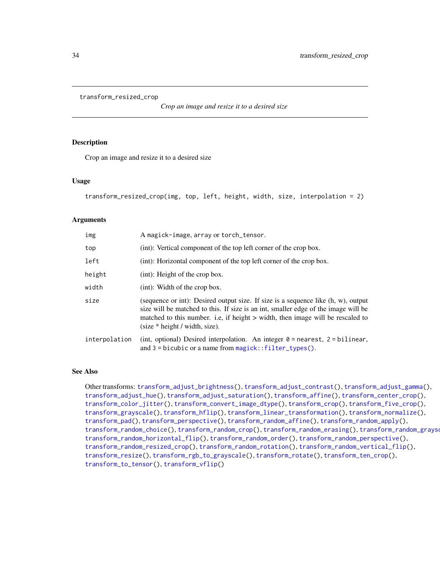```
transform_resized_crop
```
*Crop an image and resize it to a desired size*

## Description

Crop an image and resize it to a desired size

#### Usage

```
transform_resized_crop(img, top, left, height, width, size, interpolation = 2)
```
#### **Arguments**

| img           | A magick-image, array or torch_tensor.                                                                                                                                                                                                                                                                                         |
|---------------|--------------------------------------------------------------------------------------------------------------------------------------------------------------------------------------------------------------------------------------------------------------------------------------------------------------------------------|
| top           | (int): Vertical component of the top left corner of the crop box.                                                                                                                                                                                                                                                              |
| left          | (int): Horizontal component of the top left corner of the crop box.                                                                                                                                                                                                                                                            |
| height        | $(int)$ : Height of the crop box.                                                                                                                                                                                                                                                                                              |
| width         | (int): Width of the crop box.                                                                                                                                                                                                                                                                                                  |
| size          | (sequence or int): Desired output size. If size is a sequence like $(h, w)$ , output<br>size will be matched to this. If size is an int, smaller edge of the image will be<br>matched to this number. i.e., if height > width, then image will be rescaled to<br>$\text{(size} * \text{height} / \text{width}, \text{size})$ . |
| interpolation | (int, optional) Desired interpolation. An integer $0 =$ nearest, $2 =$ bilinear,<br>and $3 =$ bicubic or a name from $magic$ : $filter_types()$ .                                                                                                                                                                              |

#### See Also

Other transforms: [transform\\_adjust\\_brightness\(](#page-7-1)), [transform\\_adjust\\_contrast\(](#page-8-1)), [transform\\_adjust\\_gamma\(](#page-8-2)), [transform\\_adjust\\_hue\(](#page-9-1)), [transform\\_adjust\\_saturation\(](#page-10-1)), [transform\\_affine\(](#page-11-1)), [transform\\_center\\_crop\(](#page-12-1)), [transform\\_color\\_jitter\(](#page-13-1)), [transform\\_convert\\_image\\_dtype\(](#page-14-1)), [transform\\_crop\(](#page-14-2)), [transform\\_five\\_crop\(](#page-15-1)), [transform\\_grayscale\(](#page-16-1)), [transform\\_hflip\(](#page-17-1)), [transform\\_linear\\_transformation\(](#page-17-2)), [transform\\_normalize\(](#page-18-1)), [transform\\_pad\(](#page-19-1)), [transform\\_perspective\(](#page-20-1)), [transform\\_random\\_affine\(](#page-21-1)), [transform\\_random\\_apply\(](#page-22-1)), [transform\\_random\\_choice\(](#page-23-1)), [transform\\_random\\_crop\(](#page-24-1)), [transform\\_random\\_erasing\(](#page-25-1)), [transform\\_random\\_grayscale\(](#page-26-1)), [transform\\_random\\_horizontal\\_flip\(](#page-27-1)), [transform\\_random\\_order\(](#page-27-2)), [transform\\_random\\_perspective\(](#page-28-1)), [transform\\_random\\_resized\\_crop\(](#page-29-1)), [transform\\_random\\_rotation\(](#page-30-1)), [transform\\_random\\_vertical\\_flip\(](#page-31-1)), [transform\\_resize\(](#page-32-1)), [transform\\_rgb\\_to\\_grayscale\(](#page-34-1)), [transform\\_rotate\(](#page-34-2)), [transform\\_ten\\_crop\(](#page-35-1)), [transform\\_to\\_tensor\(](#page-36-1)), [transform\\_vflip\(](#page-37-1))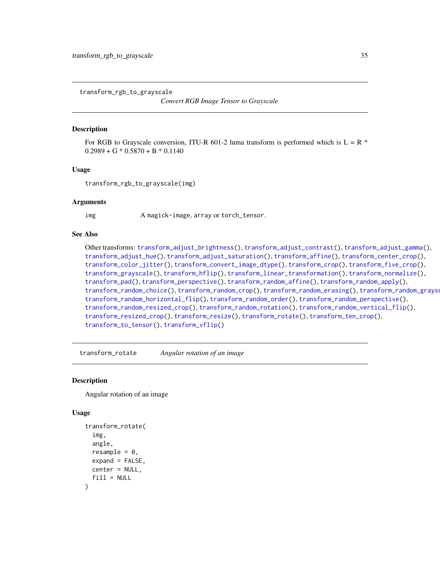<span id="page-34-1"></span><span id="page-34-0"></span>transform\_rgb\_to\_grayscale

*Convert RGB Image Tensor to Grayscale*

#### Description

For RGB to Grayscale conversion, ITU-R 601-2 luma transform is performed which is  $L = R$  \*  $0.2989 + G * 0.5870 + B * 0.1140$ 

## Usage

transform\_rgb\_to\_grayscale(img)

#### Arguments

img A magick-image, array or torch\_tensor.

## See Also

Other transforms: [transform\\_adjust\\_brightness\(](#page-7-1)), [transform\\_adjust\\_contrast\(](#page-8-1)), [transform\\_adjust\\_gamma\(](#page-8-2)), [transform\\_adjust\\_hue\(](#page-9-1)), [transform\\_adjust\\_saturation\(](#page-10-1)), [transform\\_affine\(](#page-11-1)), [transform\\_center\\_crop\(](#page-12-1)), [transform\\_color\\_jitter\(](#page-13-1)), [transform\\_convert\\_image\\_dtype\(](#page-14-1)), [transform\\_crop\(](#page-14-2)), [transform\\_five\\_crop\(](#page-15-1)), [transform\\_grayscale\(](#page-16-1)), [transform\\_hflip\(](#page-17-1)), [transform\\_linear\\_transformation\(](#page-17-2)), [transform\\_normalize\(](#page-18-1)), [transform\\_pad\(](#page-19-1)), [transform\\_perspective\(](#page-20-1)), [transform\\_random\\_affine\(](#page-21-1)), [transform\\_random\\_apply\(](#page-22-1)), [transform\\_random\\_choice\(](#page-23-1)), [transform\\_random\\_crop\(](#page-24-1)), [transform\\_random\\_erasing\(](#page-25-1)), [transform\\_random\\_grayscale\(](#page-26-1)), [transform\\_random\\_horizontal\\_flip\(](#page-27-1)), [transform\\_random\\_order\(](#page-27-2)), [transform\\_random\\_perspective\(](#page-28-1)), [transform\\_random\\_resized\\_crop\(](#page-29-1)), [transform\\_random\\_rotation\(](#page-30-1)), [transform\\_random\\_vertical\\_flip\(](#page-31-1)), [transform\\_resized\\_crop\(](#page-33-1)), [transform\\_resize\(](#page-32-1)), [transform\\_rotate\(](#page-34-2)), [transform\\_ten\\_crop\(](#page-35-1)), [transform\\_to\\_tensor\(](#page-36-1)), [transform\\_vflip\(](#page-37-1))

<span id="page-34-2"></span>transform\_rotate *Angular rotation of an image*

#### Description

Angular rotation of an image

#### Usage

```
transform_rotate(
  img,
  angle,
  resample = 0,
  expand = FALSE,
  center = NULL,
  fill = NULL)
```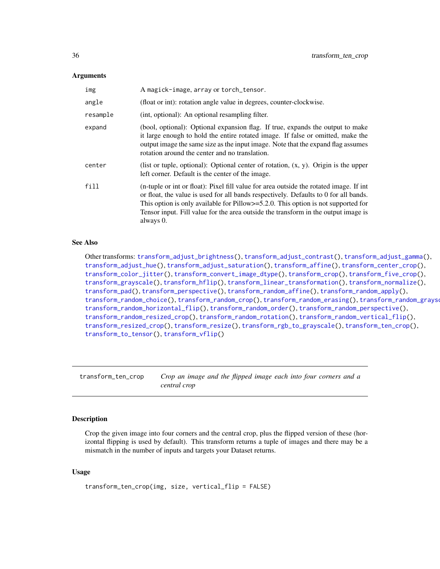#### <span id="page-35-0"></span>Arguments

| img      | A magick-image, array or torch_tensor.                                                                                                                                                                                                                                                                                                                                       |
|----------|------------------------------------------------------------------------------------------------------------------------------------------------------------------------------------------------------------------------------------------------------------------------------------------------------------------------------------------------------------------------------|
| angle    | (float or int): rotation angle value in degrees, counter-clockwise.                                                                                                                                                                                                                                                                                                          |
| resample | (int, optional): An optional resampling filter.                                                                                                                                                                                                                                                                                                                              |
| expand   | (bool, optional): Optional expansion flag. If true, expands the output to make<br>it large enough to hold the entire rotated image. If false or omitted, make the<br>output image the same size as the input image. Note that the expand flag assumes<br>rotation around the center and no translation.                                                                      |
| center   | (list or tuple, optional): Optional center of rotation, $(x, y)$ . Origin is the upper<br>left corner. Default is the center of the image.                                                                                                                                                                                                                                   |
| fill     | (n-tuple or int or float): Pixel fill value for area outside the rotated image. If int<br>or float, the value is used for all bands respectively. Defaults to 0 for all bands.<br>This option is only available for Pillow $\ge$ =5.2.0. This option is not supported for<br>Tensor input. Fill value for the area outside the transform in the output image is<br>always 0. |

#### See Also

Other transforms: [transform\\_adjust\\_brightness\(](#page-7-1)), [transform\\_adjust\\_contrast\(](#page-8-1)), [transform\\_adjust\\_gamma\(](#page-8-2)), [transform\\_adjust\\_hue\(](#page-9-1)), [transform\\_adjust\\_saturation\(](#page-10-1)), [transform\\_affine\(](#page-11-1)), [transform\\_center\\_crop\(](#page-12-1)), [transform\\_color\\_jitter\(](#page-13-1)), [transform\\_convert\\_image\\_dtype\(](#page-14-1)), [transform\\_crop\(](#page-14-2)), [transform\\_five\\_crop\(](#page-15-1)), [transform\\_grayscale\(](#page-16-1)), [transform\\_hflip\(](#page-17-1)), [transform\\_linear\\_transformation\(](#page-17-2)), [transform\\_normalize\(](#page-18-1)), [transform\\_pad\(](#page-19-1)), [transform\\_perspective\(](#page-20-1)), [transform\\_random\\_affine\(](#page-21-1)), [transform\\_random\\_apply\(](#page-22-1)), [transform\\_random\\_choice\(](#page-23-1)), [transform\\_random\\_crop\(](#page-24-1)), [transform\\_random\\_erasing\(](#page-25-1)), [transform\\_random\\_grayscale\(](#page-26-1)), [transform\\_random\\_horizontal\\_flip\(](#page-27-1)), [transform\\_random\\_order\(](#page-27-2)), [transform\\_random\\_perspective\(](#page-28-1)), [transform\\_random\\_resized\\_crop\(](#page-29-1)), [transform\\_random\\_rotation\(](#page-30-1)), [transform\\_random\\_vertical\\_flip\(](#page-31-1)), [transform\\_resized\\_crop\(](#page-33-1)), [transform\\_resize\(](#page-32-1)), [transform\\_rgb\\_to\\_grayscale\(](#page-34-1)), [transform\\_ten\\_crop\(](#page-35-1)), [transform\\_to\\_tensor\(](#page-36-1)), [transform\\_vflip\(](#page-37-1))

<span id="page-35-1"></span>transform\_ten\_crop *Crop an image and the flipped image each into four corners and a central crop*

## Description

Crop the given image into four corners and the central crop, plus the flipped version of these (horizontal flipping is used by default). This transform returns a tuple of images and there may be a mismatch in the number of inputs and targets your Dataset returns.

#### Usage

```
transform_ten_crop(img, size, vertical_flip = FALSE)
```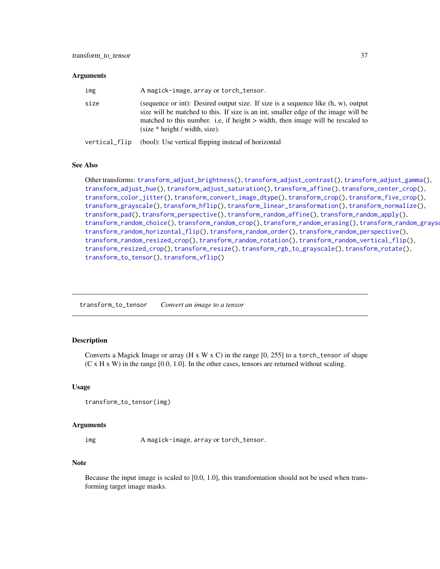#### <span id="page-36-0"></span>**Arguments**

| img           | A magick-image, array or torch_tensor.                                                                                                                                                                                                                                                                                           |
|---------------|----------------------------------------------------------------------------------------------------------------------------------------------------------------------------------------------------------------------------------------------------------------------------------------------------------------------------------|
| size          | (sequence or int): Desired output size. If size is a sequence like $(h, w)$ , output<br>size will be matched to this. If size is an int, smaller edge of the image will be<br>matched to this number. i.e., if height $>$ width, then image will be rescaled to<br>$\text{(size} * \text{height} / \text{width}, \text{size})$ . |
| vertical_flip | (bool): Use vertical flipping instead of horizontal                                                                                                                                                                                                                                                                              |

#### See Also

Other transforms: [transform\\_adjust\\_brightness\(](#page-7-1)), [transform\\_adjust\\_contrast\(](#page-8-1)), [transform\\_adjust\\_gamma\(](#page-8-2)), [transform\\_adjust\\_hue\(](#page-9-1)), [transform\\_adjust\\_saturation\(](#page-10-1)), [transform\\_affine\(](#page-11-1)), [transform\\_center\\_crop\(](#page-12-1)), [transform\\_color\\_jitter\(](#page-13-1)), [transform\\_convert\\_image\\_dtype\(](#page-14-1)), [transform\\_crop\(](#page-14-2)), [transform\\_five\\_crop\(](#page-15-1)), [transform\\_grayscale\(](#page-16-1)), [transform\\_hflip\(](#page-17-1)), [transform\\_linear\\_transformation\(](#page-17-2)), [transform\\_normalize\(](#page-18-1)), [transform\\_pad\(](#page-19-1)), [transform\\_perspective\(](#page-20-1)), [transform\\_random\\_affine\(](#page-21-1)), [transform\\_random\\_apply\(](#page-22-1)), [transform\\_random\\_choice\(](#page-23-1)), [transform\\_random\\_crop\(](#page-24-1)), [transform\\_random\\_erasing\(](#page-25-1)), [transform\\_random\\_grayscale\(](#page-26-1)), [transform\\_random\\_horizontal\\_flip\(](#page-27-1)), [transform\\_random\\_order\(](#page-27-2)), [transform\\_random\\_perspective\(](#page-28-1)), [transform\\_random\\_resized\\_crop\(](#page-29-1)), [transform\\_random\\_rotation\(](#page-30-1)), [transform\\_random\\_vertical\\_flip\(](#page-31-1)), [transform\\_resized\\_crop\(](#page-33-1)), [transform\\_resize\(](#page-32-1)), [transform\\_rgb\\_to\\_grayscale\(](#page-34-1)), [transform\\_rotate\(](#page-34-2)), [transform\\_to\\_tensor\(](#page-36-1)), [transform\\_vflip\(](#page-37-1))

<span id="page-36-1"></span>transform\_to\_tensor *Convert an image to a tensor*

## **Description**

Converts a Magick Image or array (H x W x C) in the range  $[0, 255]$  to a torch\_tensor of shape  $(C \times H \times W)$  in the range [0.0, 1.0]. In the other cases, tensors are returned without scaling.

#### Usage

transform\_to\_tensor(img)

#### Arguments

img A magick-image, array or torch\_tensor.

#### Note

Because the input image is scaled to [0.0, 1.0], this transformation should not be used when transforming target image masks.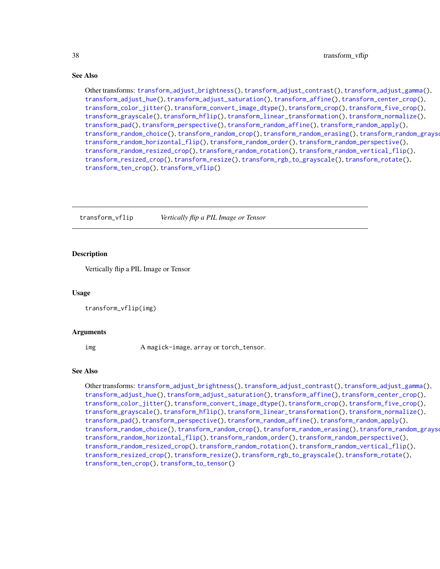Other transforms: [transform\\_adjust\\_brightness\(](#page-7-1)), [transform\\_adjust\\_contrast\(](#page-8-1)), [transform\\_adjust\\_gamma\(](#page-8-2)), [transform\\_adjust\\_hue\(](#page-9-1)), [transform\\_adjust\\_saturation\(](#page-10-1)), [transform\\_affine\(](#page-11-1)), [transform\\_center\\_crop\(](#page-12-1)), [transform\\_color\\_jitter\(](#page-13-1)), [transform\\_convert\\_image\\_dtype\(](#page-14-1)), [transform\\_crop\(](#page-14-2)), [transform\\_five\\_crop\(](#page-15-1)), [transform\\_grayscale\(](#page-16-1)), [transform\\_hflip\(](#page-17-1)), [transform\\_linear\\_transformation\(](#page-17-2)), [transform\\_normalize\(](#page-18-1)), [transform\\_pad\(](#page-19-1)), [transform\\_perspective\(](#page-20-1)), [transform\\_random\\_affine\(](#page-21-1)), [transform\\_random\\_apply\(](#page-22-1)), [transform\\_random\\_choice\(](#page-23-1)), [transform\\_random\\_crop\(](#page-24-1)), [transform\\_random\\_erasing\(](#page-25-1)), [transform\\_random\\_grayscale\(](#page-26-1)), [transform\\_random\\_horizontal\\_flip\(](#page-27-1)), [transform\\_random\\_order\(](#page-27-2)), [transform\\_random\\_perspective\(](#page-28-1)), [transform\\_random\\_resized\\_crop\(](#page-29-1)), [transform\\_random\\_rotation\(](#page-30-1)), [transform\\_random\\_vertical\\_flip\(](#page-31-1)), [transform\\_resized\\_crop\(](#page-33-1)), [transform\\_resize\(](#page-32-1)), [transform\\_rgb\\_to\\_grayscale\(](#page-34-1)), [transform\\_rotate\(](#page-34-2)), [transform\\_ten\\_crop\(](#page-35-1)), [transform\\_vflip\(](#page-37-1))

<span id="page-37-1"></span>transform\_vflip *Vertically flip a PIL Image or Tensor*

## **Description**

Vertically flip a PIL Image or Tensor

#### Usage

transform\_vflip(img)

## Arguments

img A magick-image, array or torch\_tensor.

#### See Also

Other transforms: [transform\\_adjust\\_brightness\(](#page-7-1)), [transform\\_adjust\\_contrast\(](#page-8-1)), [transform\\_adjust\\_gamma\(](#page-8-2)), [transform\\_adjust\\_hue\(](#page-9-1)), [transform\\_adjust\\_saturation\(](#page-10-1)), [transform\\_affine\(](#page-11-1)), [transform\\_center\\_crop\(](#page-12-1)), [transform\\_color\\_jitter\(](#page-13-1)), [transform\\_convert\\_image\\_dtype\(](#page-14-1)), [transform\\_crop\(](#page-14-2)), [transform\\_five\\_crop\(](#page-15-1)), [transform\\_grayscale\(](#page-16-1)), [transform\\_hflip\(](#page-17-1)), [transform\\_linear\\_transformation\(](#page-17-2)), [transform\\_normalize\(](#page-18-1)), [transform\\_pad\(](#page-19-1)), [transform\\_perspective\(](#page-20-1)), [transform\\_random\\_affine\(](#page-21-1)), [transform\\_random\\_apply\(](#page-22-1)), [transform\\_random\\_choice\(](#page-23-1)), [transform\\_random\\_crop\(](#page-24-1)), [transform\\_random\\_erasing\(](#page-25-1)), [transform\\_random\\_grayscale\(](#page-26-1)), [transform\\_random\\_horizontal\\_flip\(](#page-27-1)), [transform\\_random\\_order\(](#page-27-2)), [transform\\_random\\_perspective\(](#page-28-1)), [transform\\_random\\_resized\\_crop\(](#page-29-1)), [transform\\_random\\_rotation\(](#page-30-1)), [transform\\_random\\_vertical\\_flip\(](#page-31-1)), [transform\\_resized\\_crop\(](#page-33-1)), [transform\\_resize\(](#page-32-1)), [transform\\_rgb\\_to\\_grayscale\(](#page-34-1)), [transform\\_rotate\(](#page-34-2)), [transform\\_ten\\_crop\(](#page-35-1)), [transform\\_to\\_tensor\(](#page-36-1))

<span id="page-37-0"></span>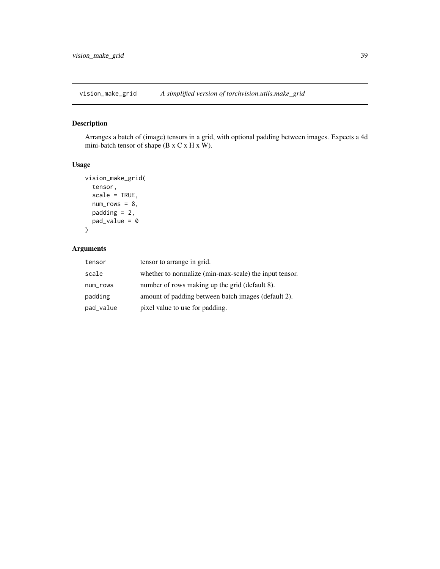<span id="page-38-0"></span>vision\_make\_grid *A simplified version of torchvision.utils.make\_grid*

## Description

Arranges a batch of (image) tensors in a grid, with optional padding between images. Expects a 4d mini-batch tensor of shape (B x C x H x W).

## Usage

```
vision_make_grid(
  tensor,
  scale = TRUE,
  num\_rows = 8,
  padding = 2,
  pad_value = 0
\mathcal{L}
```

| tensor    | tensor to arrange in grid.                             |
|-----------|--------------------------------------------------------|
| scale     | whether to normalize (min-max-scale) the input tensor. |
| num_rows  | number of rows making up the grid (default 8).         |
| padding   | amount of padding between batch images (default 2).    |
| pad_value | pixel value to use for padding.                        |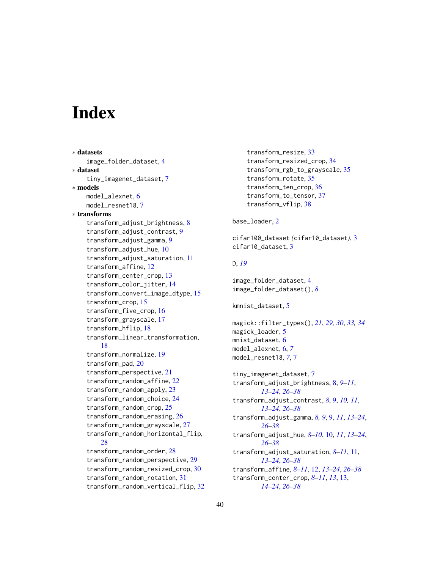# <span id="page-39-0"></span>**Index**

```
∗ datasets
    image_folder_dataset, 4
∗ dataset
    tiny_imagenet_dataset, 7
∗ models
    model_alexnet, 6
    model_resnet18, 7
∗ transforms
    transform_adjust_brightness, 8
    transform_adjust_contrast, 9
    transform_adjust_gamma, 9
    transform_adjust_hue, 10
    transform_adjust_saturation, 11
    transform_affine, 12
    transform_center_crop, 13
    transform_color_jitter, 14
    transform_convert_image_dtype, 15
    transform_crop, 15
    transform_five_crop, 16
    transform_grayscale, 17
    transform_hflip, 18
    transform_linear_transformation,
        18
    transform_normalize, 19
    transform_pad, 20
    transform_perspective, 21
    transform_random_affine, 22
    transform_random_apply, 23
    transform_random_choice, 24
    transform_random_crop, 25
    transform_random_erasing, 26
    transform_random_grayscale, 27
    transform_random_horizontal_flip,
        28
    transform_random_order, 28
    transform_random_perspective, 29
    transform_random_resized_crop, 30
    transform_random_rotation, 31
    transform_random_vertical_flip, 32
```
transform\_resize, [33](#page-32-0) transform\_resized\_crop, [34](#page-33-0) transform\_rgb\_to\_grayscale, [35](#page-34-0) transform\_rotate, [35](#page-34-0) transform\_ten\_crop, [36](#page-35-0) transform\_to\_tensor, [37](#page-36-0) transform\_vflip, [38](#page-37-0)

## base\_loader, [2](#page-1-0)

cifar100\_dataset *(*cifar10\_dataset*)*, [3](#page-2-0) cifar10 dataset. [3](#page-2-0)

#### D, *[19](#page-18-0)*

image\_folder\_dataset, [4](#page-3-0) image\_folder\_dataset(), *[8](#page-7-0)*

```
kmnist_dataset, 5
```
magick::filter\_types(), *[21](#page-20-0)*, *[29,](#page-28-0) [30](#page-29-0)*, *[33,](#page-32-0) [34](#page-33-0)* magick\_loader, [5](#page-4-0) mnist\_dataset, [6](#page-5-0) model\_alexnet, [6,](#page-5-0) *[7](#page-6-0)* model\_resnet18, *[7](#page-6-0)*, [7](#page-6-0)

```
tiny_imagenet_dataset, 7
transform_adjust_brightness, 8, 9–11,
        13–24, 26–38
transform_adjust_contrast, 8, 9, 10, 11,
        13–24, 26–38
transform_adjust_gamma, 8, 9, 9, 11, 13–24,
        26–38
transform_adjust_hue, 8–10, 10, 11, 13–24,
        26–38
transform_adjust_saturation, 8–11, 11,
        13–24, 26–38
transform_affine, 8–11, 12, 13–24, 26–38
transform_center_crop, 8–11, 13, 13,
        14–24, 26–38
```